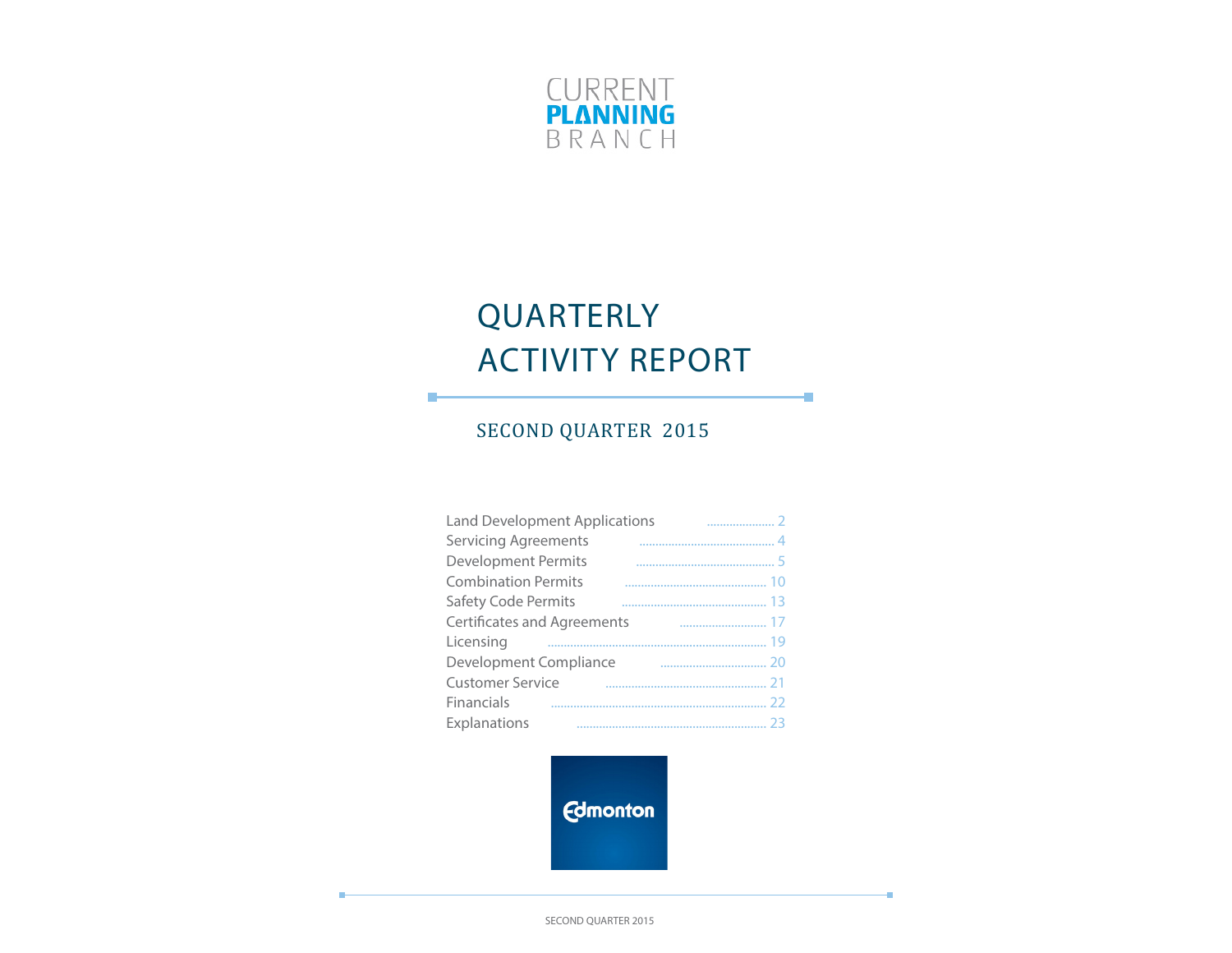

# QUARTERLY ACTIVITY REPORT

÷

÷

# SECOND QUARTER 2015

П

| <b>Land Development Applications</b> |  |
|--------------------------------------|--|
| <b>Servicing Agreements</b>          |  |
| <b>Development Permits</b>           |  |
| <b>Combination Permits</b>           |  |
| Safety Code Permits                  |  |
| <b>Certificates and Agreements</b>   |  |
| Licensing                            |  |
| Development Compliance               |  |
| <b>Customer Service</b>              |  |
| Financials                           |  |
| Explanations                         |  |

**Edmonton** 

SECOND QUARTER 2015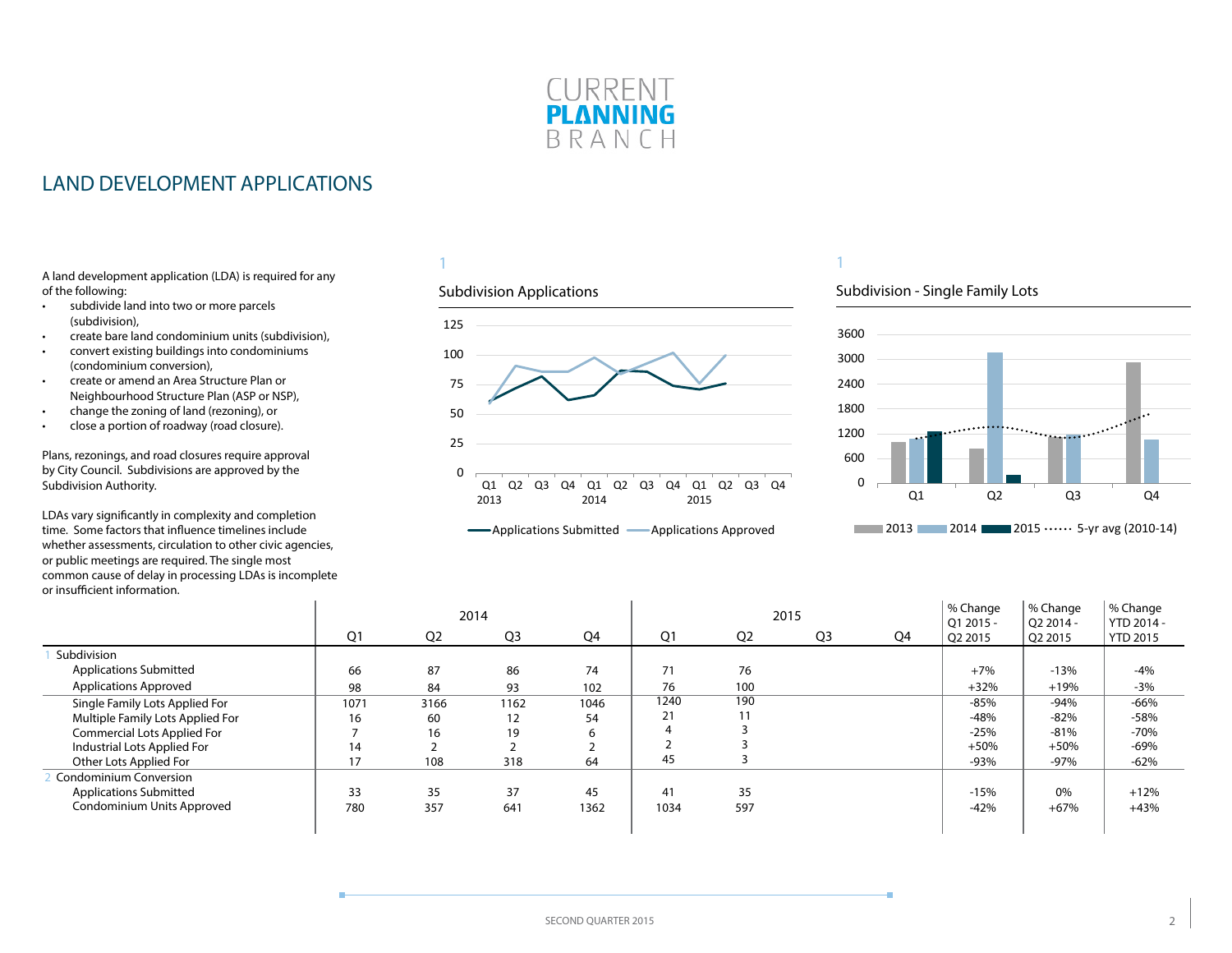

### <span id="page-1-0"></span>LAND DEVELOPMENT APPLICATIONS

A land development application (LDA) is required for any of the following:

- subdivide land into two or more parcels (subdivision),
- create bare land condominium units (subdivision),
- convert existing buildings into condominiums (condominium conversion),
- create or amend an Area Structure Plan or Neighbourhood Structure Plan (ASP or NSP),
- change the zoning of land (rezoning), or
- close a portion of roadway (road closure).

Plans, rezonings, and road closures require approval by City Council. Subdivisions are approved by the Subdivision Authority.

LDAs vary significantly in complexity and completion time. Some factors that influence timelines include whether assessments, circulation to other civic agencies, or public meetings are required. The single most common cause of delay in processing LDAs is incomplete or insufficient information.  $\mathbf{r}$ 

### 1

#### Subdivision Applications



### 1

### Subdivision - Single Family Lots



|                                  |      |                | 2014           |      |      |                | 2015           |    | % Change<br>01 2015 - | % Change<br>$O22014 -$ | % Change<br>YTD 2014 - |
|----------------------------------|------|----------------|----------------|------|------|----------------|----------------|----|-----------------------|------------------------|------------------------|
|                                  | Q1   | Q <sub>2</sub> | Q <sub>3</sub> | Q4   | Q1   | Q <sub>2</sub> | Q <sub>3</sub> | Q4 | Q2 2015               | Q2 2015                | <b>YTD 2015</b>        |
| Subdivision                      |      |                |                |      |      |                |                |    |                       |                        |                        |
| <b>Applications Submitted</b>    | 66   | 87             | 86             | 74   | 71   | 76             |                |    | $+7%$                 | $-13%$                 | $-4%$                  |
| <b>Applications Approved</b>     | 98   | 84             | 93             | 102  | 76   | 100            |                |    | $+32%$                | $+19%$                 | $-3%$                  |
| Single Family Lots Applied For   | 1071 | 3166           | 1162           | 1046 | 1240 | 190            |                |    | -85%                  | $-94%$                 | $-66%$                 |
| Multiple Family Lots Applied For | 16   | 60             | 12             | 54   | 21   |                |                |    | -48%                  | $-82%$                 | $-58%$                 |
| Commercial Lots Applied For      |      | 16             | 19             |      |      |                |                |    | $-25%$                | $-81%$                 | $-70%$                 |
| Industrial Lots Applied For      | 14   |                |                |      |      |                |                |    | $+50%$                | $+50%$                 | $-69%$                 |
| Other Lots Applied For           | 17   | 108            | 318            | 64   | 45   |                |                |    | -93%                  | $-97%$                 | $-62%$                 |
| <b>Condominium Conversion</b>    |      |                |                |      |      |                |                |    |                       |                        |                        |
| <b>Applications Submitted</b>    | 33   | 35             | 37             | 45   | 41   | 35             |                |    | $-15%$                | 0%                     | $+12%$                 |
| Condominium Units Approved       | 780  | 357            | 641            | 1362 | 1034 | 597            |                |    | $-42%$                | $+67%$                 | $+43%$                 |
|                                  |      |                |                |      |      |                |                |    |                       |                        |                        |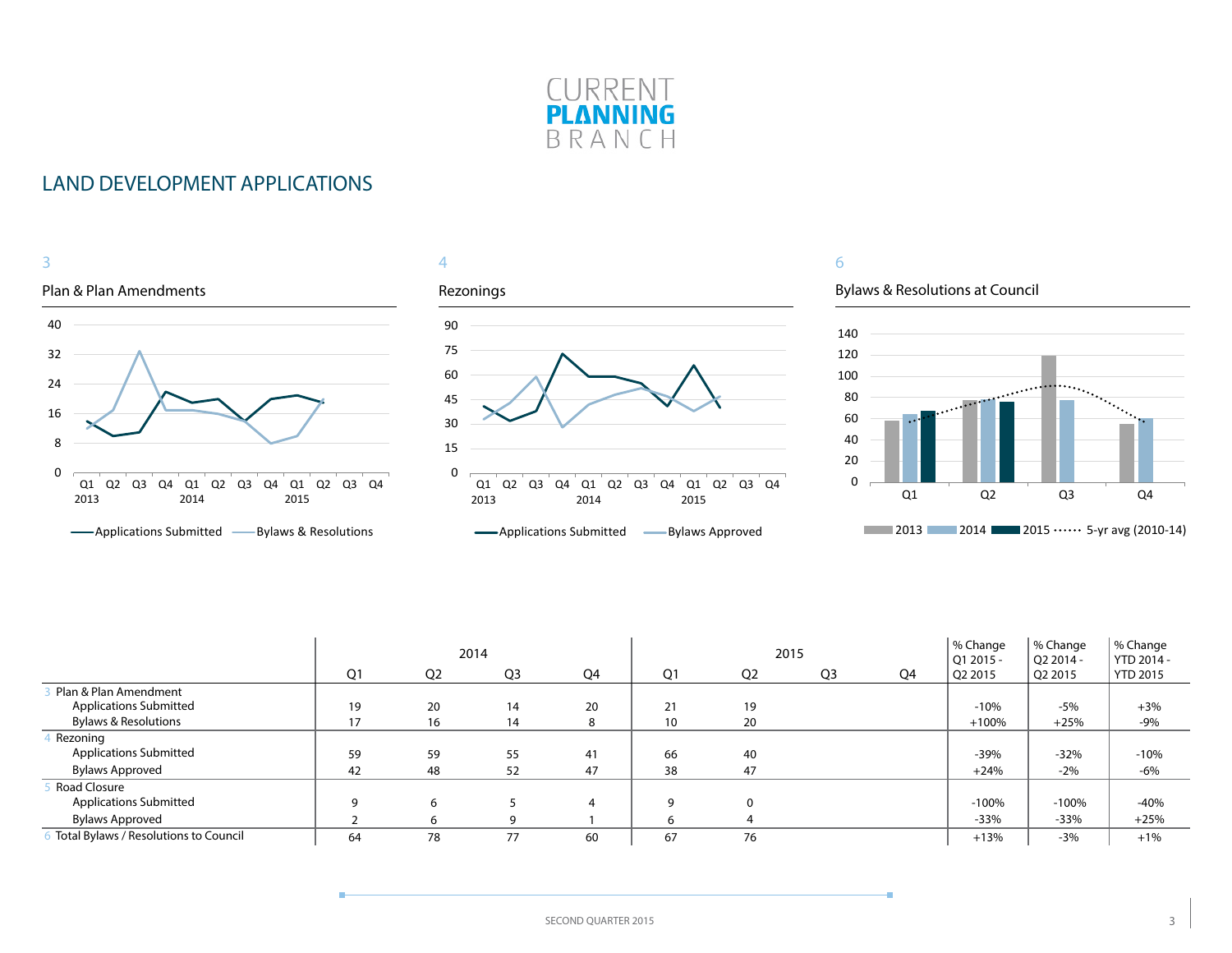

### LAND DEVELOPMENT APPLICATIONS



|                                       | 2014<br>Q1<br>Q <sub>3</sub><br>Q <sub>2</sub><br>Q4 |    |    |    | 2015 |                |                | % Change<br>$O12015 -$ | % Change<br>O2 2014 - | % Change<br>YTD 2014 - |                 |
|---------------------------------------|------------------------------------------------------|----|----|----|------|----------------|----------------|------------------------|-----------------------|------------------------|-----------------|
|                                       |                                                      |    |    |    | Q1   | Q <sub>2</sub> | Q <sub>3</sub> | Q4                     | Q2 2015               | Q2 2015                | <b>YTD 2015</b> |
| Plan & Plan Amendment                 |                                                      |    |    |    |      |                |                |                        |                       |                        |                 |
| <b>Applications Submitted</b>         | 19                                                   | 20 | 14 | 20 | 21   | 19             |                |                        | $-10%$                | $-5%$                  | $+3%$           |
| <b>Bylaws &amp; Resolutions</b>       | 17                                                   | 16 | 14 | 8  | 10   | 20             |                |                        | $+100%$               | $+25%$                 | $-9%$           |
| Rezoning                              |                                                      |    |    |    |      |                |                |                        |                       |                        |                 |
| <b>Applications Submitted</b>         | 59                                                   | 59 | 55 | 41 | 66   | 40             |                |                        | $-39%$                | $-32%$                 | $-10%$          |
| Bylaws Approved                       | 42                                                   | 48 | 52 | 47 | 38   | 47             |                |                        | $+24%$                | $-2%$                  | $-6%$           |
| Road Closure                          |                                                      |    |    |    |      |                |                |                        |                       |                        |                 |
| <b>Applications Submitted</b>         | 9                                                    | 6  |    | 4  | q    |                |                |                        | $-100%$               | $-100%$                | $-40%$          |
| <b>Bylaws Approved</b>                |                                                      |    | q  |    | 'n   |                |                |                        | $-33%$                | $-33%$                 | $+25%$          |
| Total Bylaws / Resolutions to Council | 64                                                   | 78 | 77 | 60 | 67   | 76             |                |                        | $+13%$                | $-3%$                  | $+1%$           |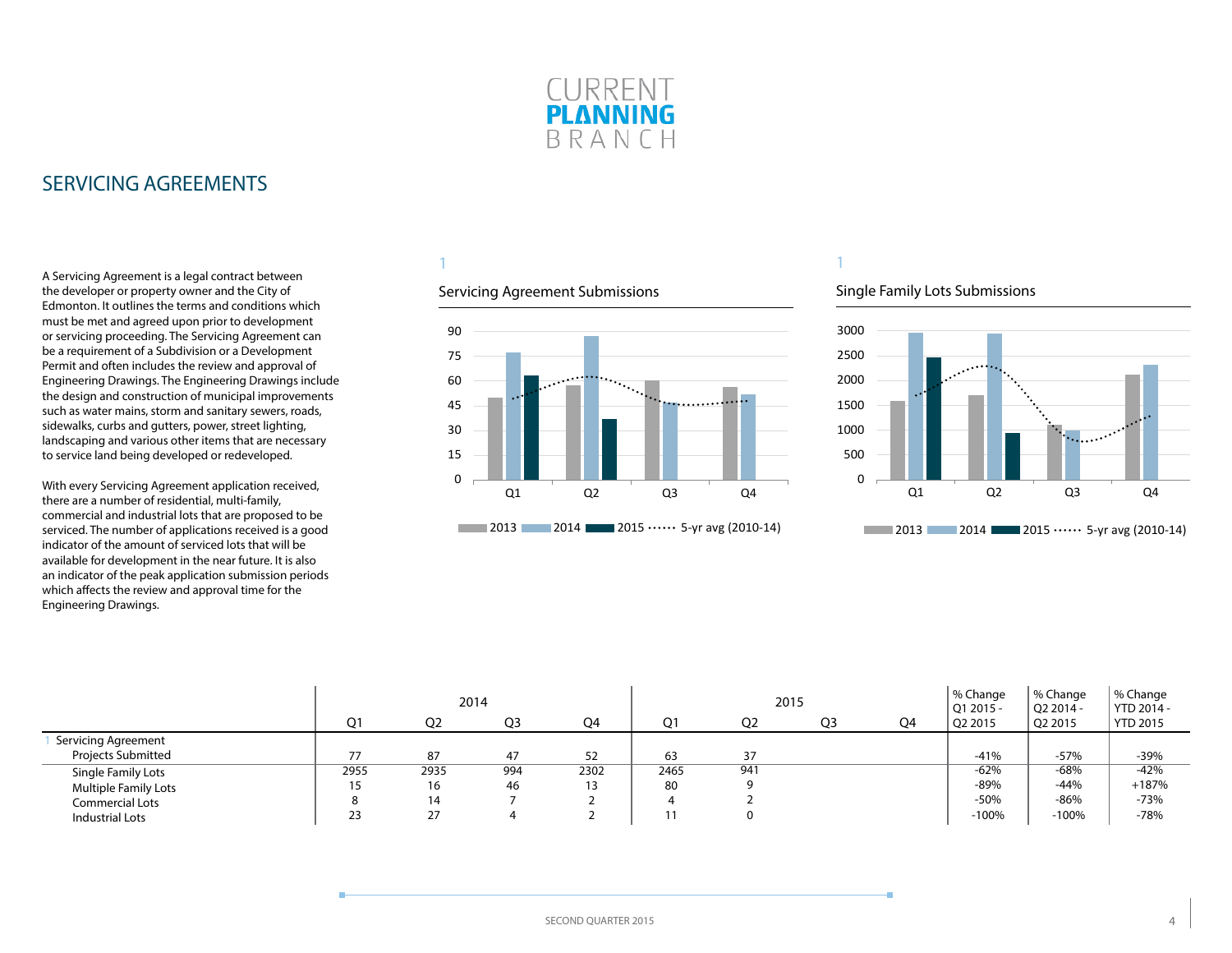

### <span id="page-3-0"></span>SERVICING AGREEMENTS

A Servicing Agreement is a legal contract between the developer or property owner and the City of Edmonton. It outlines the terms and conditions which must be met and agreed upon prior to development or servicing proceeding. The Servicing Agreement can be a requirement of a Subdivision or a Development Permit and often includes the review and approval of Engineering Drawings. The Engineering Drawings include the design and construction of municipal improvements such as water mains, storm and sanitary sewers, roads, sidewalks, curbs and gutters, power, street lighting, landscaping and various other items that are necessary to service land being developed or redeveloped.

With every Servicing Agreement application received, there are a number of residential, multi-family, commercial and industrial lots that are proposed to be serviced. The number of applications received is a good indicator of the amount of serviced lots that will be available for development in the near future. It is also an indicator of the peak application submission periods which affects the review and approval time for the Engineering Drawings.

### 1

#### Servicing Agreement Submissions



#### Single Family Lots Submissions



|                             |         |                | 2014 |      |                |                | 2015           |    | % Change<br>$ 012015 -$ | % Change<br>O2 2014 - | % Change<br>YTD 2014 - |
|-----------------------------|---------|----------------|------|------|----------------|----------------|----------------|----|-------------------------|-----------------------|------------------------|
|                             | Q1      | O <sub>2</sub> | Q3   | Q4   | O <sup>1</sup> | Q <sub>2</sub> | Q <sub>3</sub> | Q4 | O <sub>2</sub> 2015     | Q2 2015               | <b>YTD 2015</b>        |
| Servicing Agreement         |         |                |      |      |                |                |                |    |                         |                       |                        |
| <b>Projects Submitted</b>   |         | 87             | 47   | 52   | 63             | 37             |                |    | $-41%$                  | $-57%$                | $-39%$                 |
| Single Family Lots          | 2955    | 2935           | 994  | 2302 | 2465           | 941            |                |    | $-62%$                  | $-68%$                | $-42%$                 |
| <b>Multiple Family Lots</b> | 15      | 16             | 46   |      | 80             |                |                |    | -89%                    | $-44%$                | $+187%$                |
| Commercial Lots             | $\circ$ | 14             |      |      |                |                |                |    | $-50%$                  | $-86%$                | $-73%$                 |
| Industrial Lots             | 23      | 27             |      |      |                |                |                |    | $-100%$                 | $-100%$               | $-78%$                 |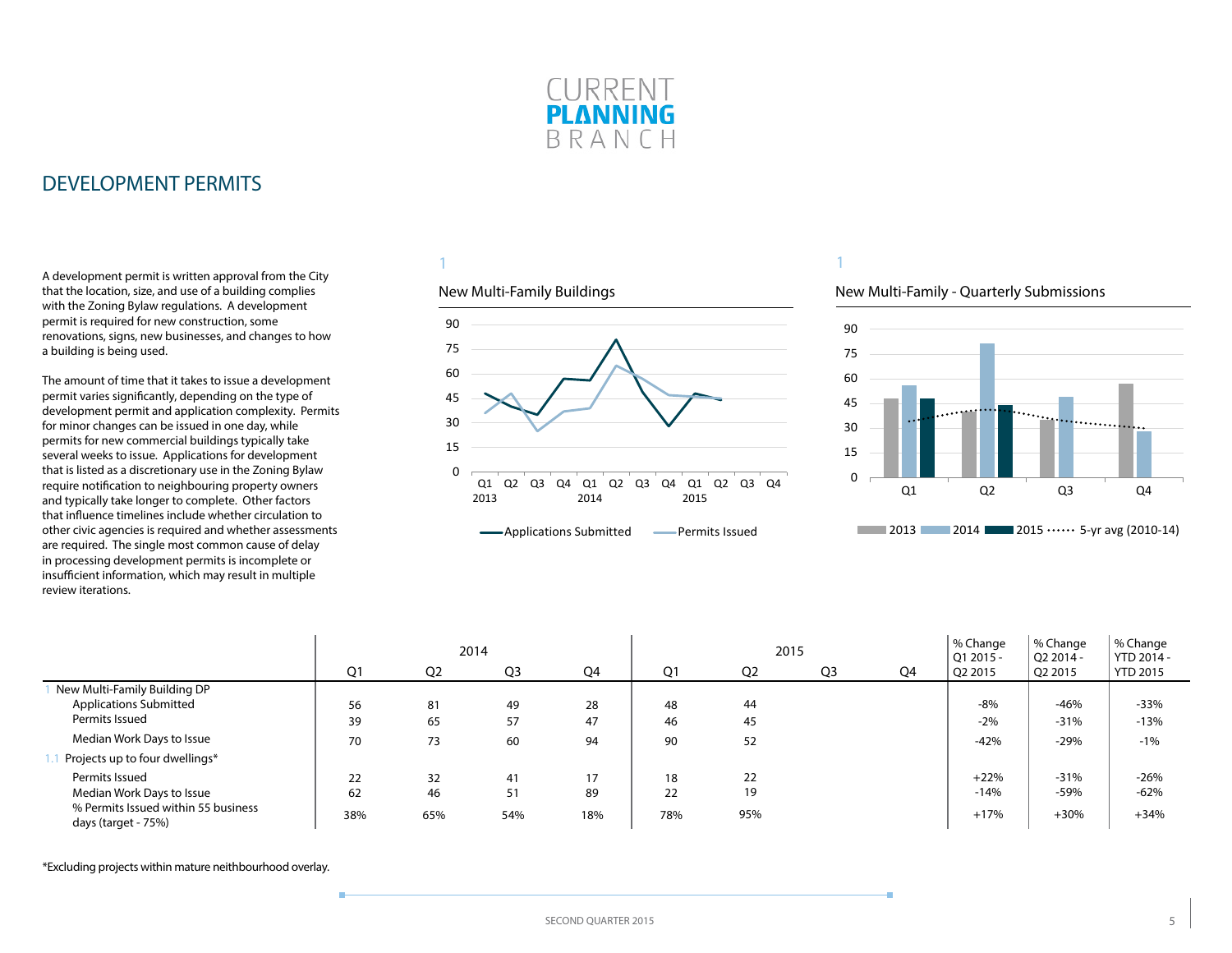

<span id="page-4-0"></span>A development permit is written approval from the City that the location, size, and use of a building complies with the Zoning Bylaw regulations. A development permit is required for new construction, some renovations, signs, new businesses, and changes to how a building is being used.

The amount of time that it takes to issue a development permit varies significantly, depending on the type of development permit and application complexity. Permits for minor changes can be issued in one day, while permits for new commercial buildings typically take several weeks to issue. Applications for development that is listed as a discretionary use in the Zoning Bylaw require notification to neighbouring property owners and typically take longer to complete. Other factors that influence timelines include whether circulation to other civic agencies is required and whether assessments are required. The single most common cause of delay in processing development permits is incomplete or insufficient information, which may result in multiple review iterations.

### 1

#### New Multi-Family Buildings



### 1

#### New Multi-Family - Quarterly Submissions



|                                                            |     | 2014<br>Q <sub>3</sub><br>Q <sub>1</sub><br>Q <sub>2</sub><br>Q4 |     |     |     |                | 2015           |    | % Change<br>Q1 2015 - | % Change<br>Q2 2014 - | % Change<br>YTD 2014 - |
|------------------------------------------------------------|-----|------------------------------------------------------------------|-----|-----|-----|----------------|----------------|----|-----------------------|-----------------------|------------------------|
|                                                            |     |                                                                  |     |     | Q1  | Q <sub>2</sub> | Q <sub>3</sub> | Q4 | Q2 2015               | Q2 2015               | <b>YTD 2015</b>        |
| New Multi-Family Building DP                               |     |                                                                  |     |     |     |                |                |    |                       |                       |                        |
| <b>Applications Submitted</b>                              | 56  | 81                                                               | 49  | 28  | 48  | 44             |                |    | $-8%$                 | $-46%$                | $-33%$                 |
| Permits Issued                                             | 39  | 65                                                               | 57  | 47  | 46  | 45             |                |    | $-2%$                 | $-31%$                | $-13%$                 |
| Median Work Days to Issue                                  | 70  | 73                                                               | 60  | 94  | 90  | 52             |                |    | $-42%$                | $-29%$                | $-1%$                  |
| Projects up to four dwellings*                             |     |                                                                  |     |     |     |                |                |    |                       |                       |                        |
| Permits Issued                                             | 22  | 32                                                               | 41  | 17  | 18  | 22             |                |    | $+22%$                | $-31%$                | $-26%$                 |
| Median Work Days to Issue                                  | 62  | 46                                                               | 51  | 89  | 22  | 19             |                |    | $-14%$                | $-59%$                | $-62%$                 |
| % Permits Issued within 55 business<br>days (target - 75%) | 38% | 65%                                                              | 54% | 18% | 78% | 95%            |                |    | $+17%$                | $+30%$                | $+34%$                 |

\*Excluding projects within mature neithbourhood overlay.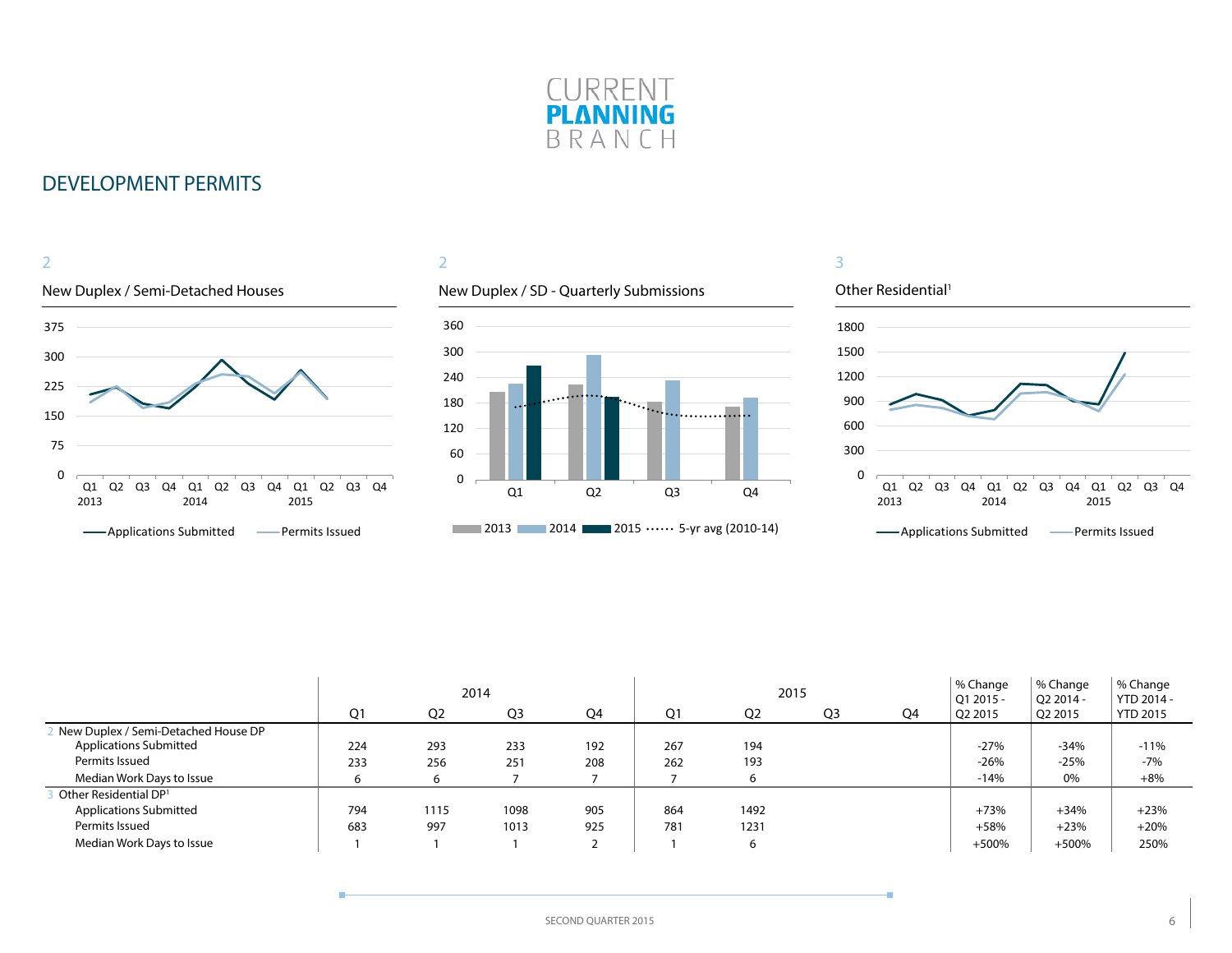



### 2

### New Duplex / SD - Quarterly Submissions





|                                     |     |      | 2014           |     |     | 2015           |                |    | % Change<br>Q1 2015 - | % Change<br>$O22014 -$ | % Change<br>YTD 2014 - |
|-------------------------------------|-----|------|----------------|-----|-----|----------------|----------------|----|-----------------------|------------------------|------------------------|
|                                     | Q1  | Q2   | Q <sub>3</sub> | Q4  | Ο1  | Q <sub>2</sub> | Q <sub>3</sub> | Q4 | Q2 2015               | Q2 2015                | <b>YTD 2015</b>        |
| New Duplex / Semi-Detached House DP |     |      |                |     |     |                |                |    |                       |                        |                        |
| <b>Applications Submitted</b>       | 224 | 293  | 233            | 192 | 267 | 194            |                |    | $-27%$                | $-34%$                 | $-11%$                 |
| Permits Issued                      | 233 | 256  | 251            | 208 | 262 | 193            |                |    | $-26%$                | $-25%$                 | $-7%$                  |
| Median Work Days to Issue           | ь   |      |                |     |     | 6              |                |    | $-14%$                | 0%                     | $+8%$                  |
| Other Residential DP <sup>1</sup>   |     |      |                |     |     |                |                |    |                       |                        |                        |
| <b>Applications Submitted</b>       | 794 | 1115 | 1098           | 905 | 864 | 1492           |                |    | $+73%$                | $+34%$                 | $+23%$                 |
| Permits Issued                      | 683 | 997  | 1013           | 925 | 781 | 1231           |                |    | $+58%$                | $+23%$                 | $+20%$                 |
| Median Work Days to Issue           |     |      |                |     |     | 6              |                |    | $+500%$               | $+500%$                | 250%                   |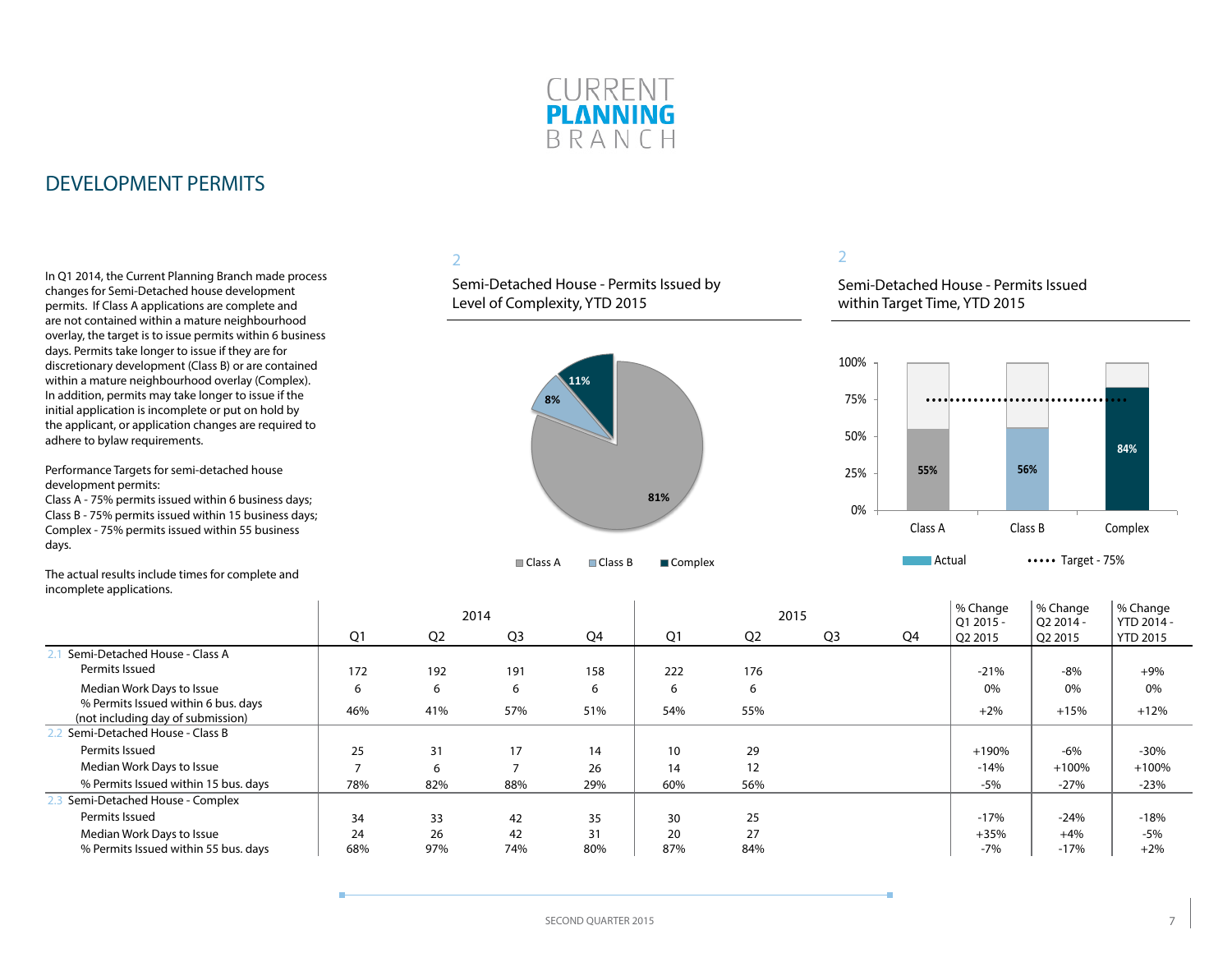

In Q1 2014, the Current Planning Branch made process changes for Semi-Detached house development permits. If Class A applications are complete and are not contained within a mature neighbourhood overlay, the target is to issue permits within 6 business days. Permits take longer to issue if they are for discretionary development (Class B) or are contained within a mature neighbourhood overlay (Complex). In addition, permits may take longer to issue if the initial application is incomplete or put on hold by the applicant, or application changes are required to adhere to bylaw requirements.

Performance Targets for semi-detached house development permits:

Class A - 75% permits issued within 6 business days; Class B - 75% permits issued within 15 business days; Complex - 75% permits issued within 55 business days.

The actual results include times for complete and incomplete applications.

### 2

Semi-Detached House - Permits Issued by Level of Complexity, YTD 2015



### 2

Semi-Detached House - Permits Issued within Target Time, YTD 2015



|                                                                          |                |                | 2014           |     |     | 2015           |                |    | % Change<br>$O12015 -$ | % Change<br>O <sub>2</sub> 2014 - | % Change<br>YTD 2014 - |
|--------------------------------------------------------------------------|----------------|----------------|----------------|-----|-----|----------------|----------------|----|------------------------|-----------------------------------|------------------------|
|                                                                          | Q1             | Q <sub>2</sub> | Q <sub>3</sub> | Q4  | Q1  | Q <sub>2</sub> | Q <sub>3</sub> | Q4 | Q2 2015                | Q2 2015                           | <b>YTD 2015</b>        |
| Semi-Detached House - Class A                                            |                |                |                |     |     |                |                |    |                        |                                   |                        |
| Permits Issued                                                           | 172            | 192            | 191            | 158 | 222 | 176            |                |    | $-21%$                 | -8%                               | $+9%$                  |
| Median Work Days to Issue                                                | 6              | 6              | 6              | 6   | 6   | 6              |                |    | 0%                     | 0%                                | 0%                     |
| % Permits Issued within 6 bus. days<br>(not including day of submission) | 46%            | 41%            | 57%            | 51% | 54% | 55%            |                |    | $+2%$                  | $+15%$                            | $+12%$                 |
| Semi-Detached House - Class B                                            |                |                |                |     |     |                |                |    |                        |                                   |                        |
| Permits Issued                                                           | 25             | 31             | 17             | 14  | 10  | 29             |                |    | $+190%$                | $-6\%$                            | $-30%$                 |
| Median Work Days to Issue                                                | $\overline{ }$ | 6              | <b>–</b>       | 26  | 14  | 12             |                |    | $-14%$                 | $+100%$                           | $+100%$                |
| % Permits Issued within 15 bus. days                                     | 78%            | 82%            | 88%            | 29% | 60% | 56%            |                |    | $-5%$                  | $-27%$                            | $-23%$                 |
| Semi-Detached House - Complex                                            |                |                |                |     |     |                |                |    |                        |                                   |                        |
| Permits Issued                                                           | 34             | 33             | 42             | 35  | 30  | 25             |                |    | $-17%$                 | $-24%$                            | $-18%$                 |
| Median Work Days to Issue                                                | 24             | 26             | 42             | 31  | 20  | 27             |                |    | $+35%$                 | $+4%$                             | -5%                    |
| % Permits Issued within 55 bus. days                                     | 68%            | 97%            | 74%            | 80% | 87% | 84%            |                |    | $-7%$                  | $-17%$                            | $+2%$                  |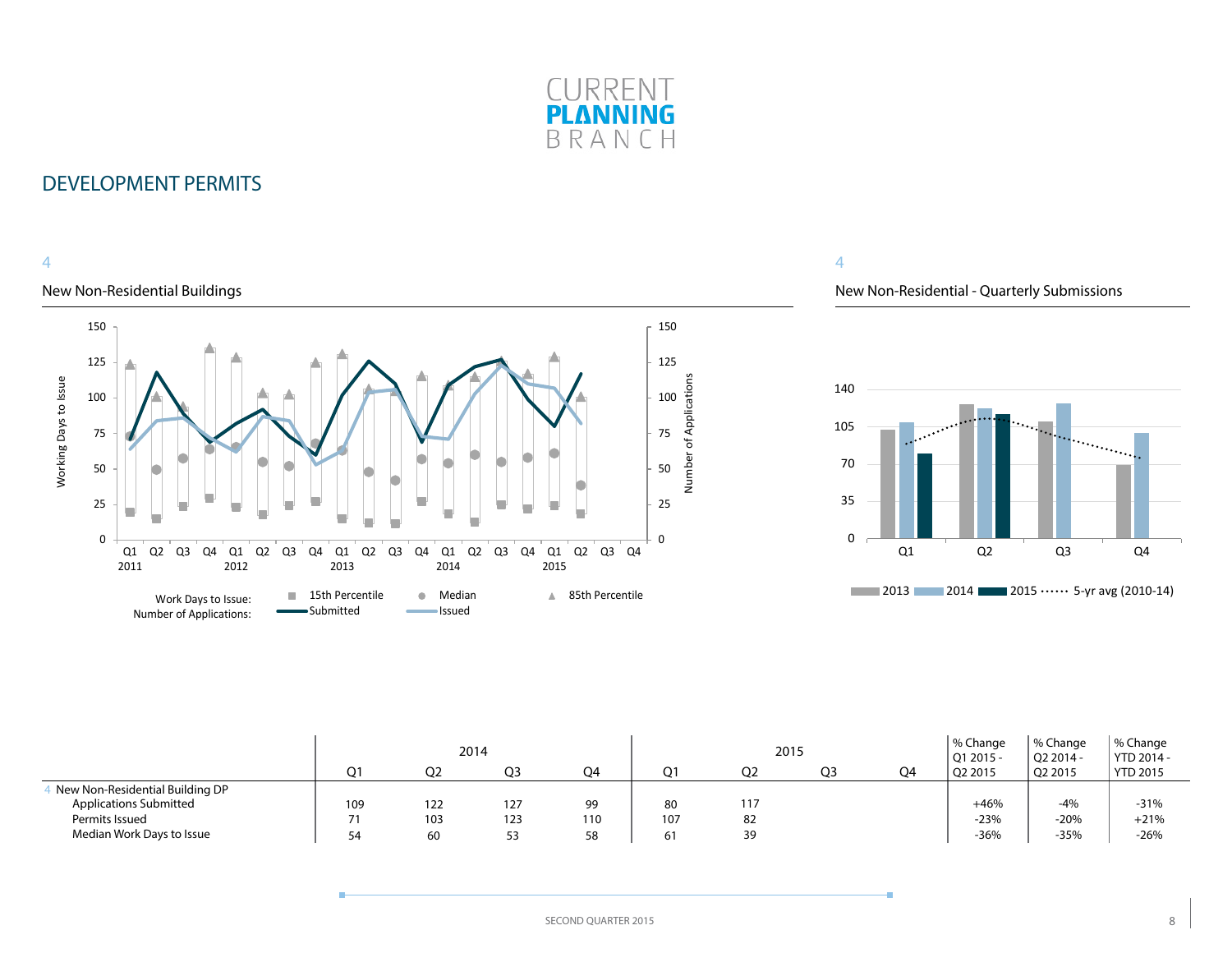

### 4

### New Non-Residential Buildings



4

### New Non-Residential - Quarterly Submissions



|                                                                  |     | O <sub>2</sub> | 2014<br>OЗ | O4  | ∩1  | 2015<br>Q2 | O <sub>3</sub> | Q4 | % Change<br>$ $ Q1 2015 -<br>Q2 2015 | '% Change<br>Q2 2014 -<br>Q2 2015 | % Change<br>YTD 2014 -<br><b>YTD 2015</b> |
|------------------------------------------------------------------|-----|----------------|------------|-----|-----|------------|----------------|----|--------------------------------------|-----------------------------------|-------------------------------------------|
| New Non-Residential Building DP<br><b>Applications Submitted</b> | 109 | 122            | 127        | 99  | 80  | 117        |                |    | $+46%$                               | -4%                               | $-31%$                                    |
| Permits Issued                                                   | 71  | 103            | 123        | 110 | 107 | 82         |                |    | $-23%$                               | $-20%$                            | $+21%$                                    |
| Median Work Days to Issue                                        | 54  | 60             | 53         | 58  |     | 39         |                |    | $-36%$                               | -35%                              | $-26%$                                    |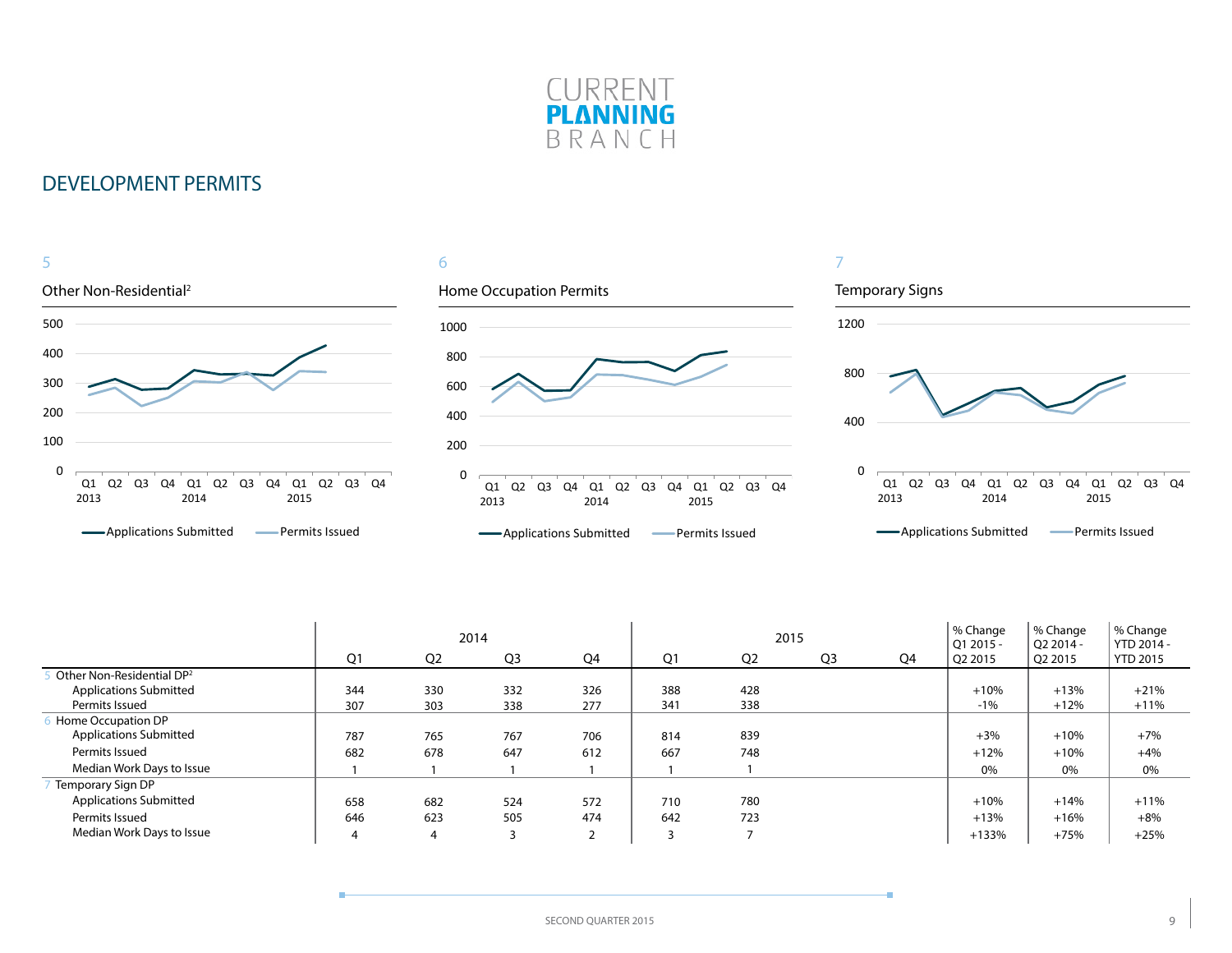



|                                       |     |                | 2014           |                |                | 2015           |                |    | % Change<br>$O12015 -$ | % Change<br>O <sub>2</sub> 2014 - | % Change<br>YTD 2014 - |
|---------------------------------------|-----|----------------|----------------|----------------|----------------|----------------|----------------|----|------------------------|-----------------------------------|------------------------|
|                                       | Q1  | Q <sub>2</sub> | Q <sub>3</sub> | Q4             | Q <sub>1</sub> | Q <sub>2</sub> | Q <sub>3</sub> | Q4 | Q2 2015                | Q2 2015                           | <b>YTD 2015</b>        |
| Other Non-Residential DP <sup>2</sup> |     |                |                |                |                |                |                |    |                        |                                   |                        |
| <b>Applications Submitted</b>         | 344 | 330            | 332            | 326            | 388            | 428            |                |    | $+10%$                 | $+13%$                            | $+21%$                 |
| Permits Issued                        | 307 | 303            | 338            | 277            | 341            | 338            |                |    | $-1%$                  | $+12%$                            | $+11%$                 |
| Home Occupation DP                    |     |                |                |                |                |                |                |    |                        |                                   |                        |
| <b>Applications Submitted</b>         | 787 | 765            | 767            | 706            | 814            | 839            |                |    | $+3%$                  | $+10%$                            | $+7%$                  |
| Permits Issued                        | 682 | 678            | 647            | 612            | 667            | 748            |                |    | $+12%$                 | $+10%$                            | $+4%$                  |
| Median Work Days to Issue             |     |                |                |                |                |                |                |    | 0%                     | 0%                                | 0%                     |
| Temporary Sign DP                     |     |                |                |                |                |                |                |    |                        |                                   |                        |
| <b>Applications Submitted</b>         | 658 | 682            | 524            | 572            | 710            | 780            |                |    | $+10%$                 | $+14%$                            | $+11%$                 |
| Permits Issued                        | 646 | 623            | 505            | 474            | 642            | 723            |                |    | $+13%$                 | $+16%$                            | $+8%$                  |
| Median Work Days to Issue             | 4   | 4              | 3              | $\overline{2}$ |                |                |                |    | $+133%$                | $+75%$                            | $+25%$                 |

÷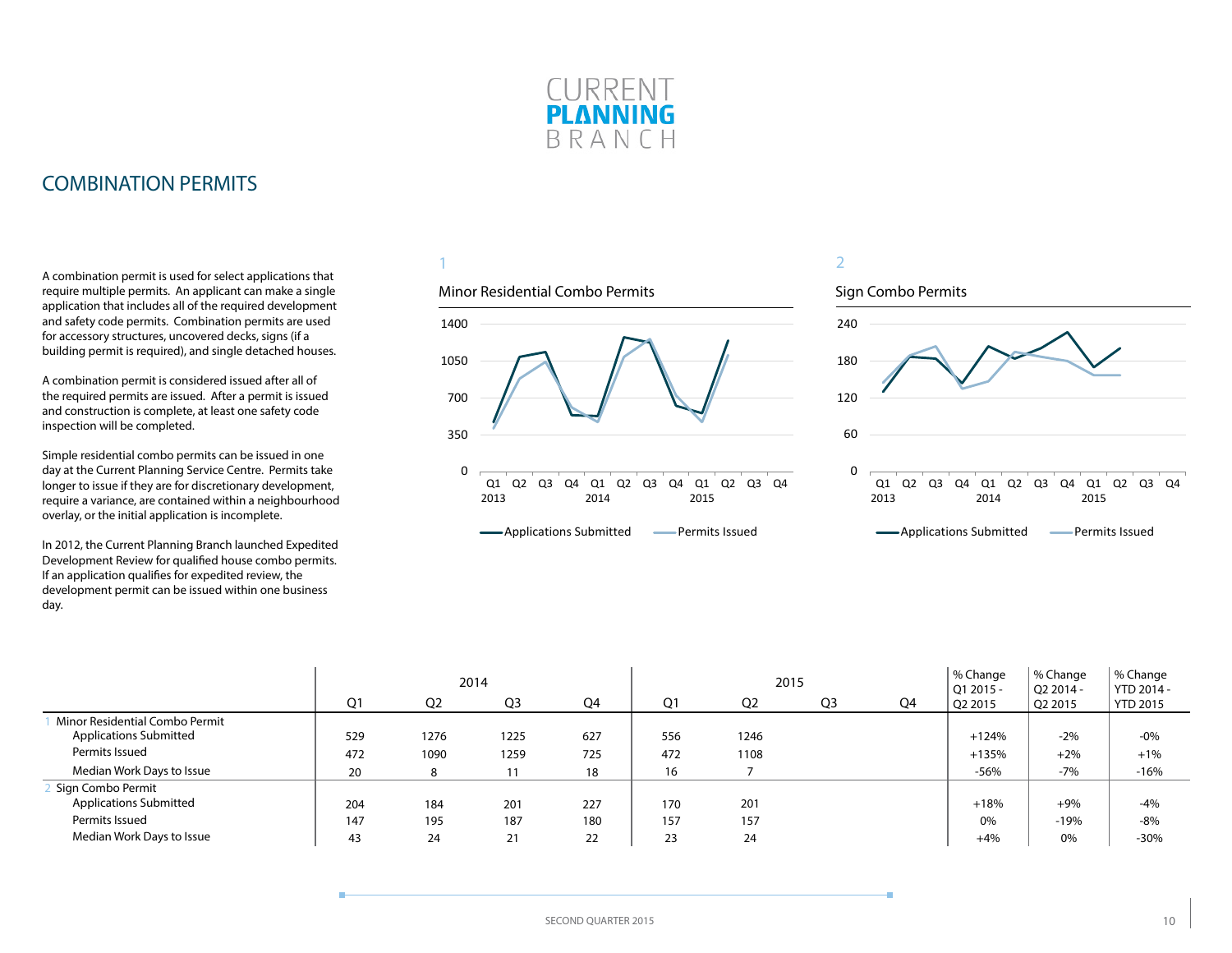

### <span id="page-9-0"></span>COMBINATION PERMITS

A combination permit is used for select applications that require multiple permits. An applicant can make a single application that includes all of the required development and safety code permits. Combination permits are used for accessory structures, uncovered decks, signs (if a building permit is required), and single detached houses.

A combination permit is considered issued after all of the required permits are issued. After a permit is issued and construction is complete, at least one safety code inspection will be completed.

Simple residential combo permits can be issued in one day at the Current Planning Service Centre. Permits take longer to issue if they are for discretionary development, require a variance, are contained within a neighbourhood overlay, or the initial application is incomplete.

In 2012, the Current Planning Branch launched Expedited Development Review for qualified house combo permits. If an application qualifies for expedited review, the development permit can be issued within one business day.

1

# 1400

Minor Residential Combo Permits

#### 0 350 700 1050 Q1 Q2 Q3 Q4 Q1 2013 2014 Q2 Q3 Q4 Q1 2015 Q2 Q3 Q4

**-**Applications Submitted **-** Permits Issued



|                                |                |                | 2014 |     |     | 2015           |                |    | % Change<br>$ $ Q1 2015 - | % Change<br>$O22014 -$ | % Change<br>YTD 2014 - |
|--------------------------------|----------------|----------------|------|-----|-----|----------------|----------------|----|---------------------------|------------------------|------------------------|
|                                | Q <sub>1</sub> | O <sub>2</sub> | Q3   | Q4  | Q1  | Q <sub>2</sub> | Q <sub>3</sub> | Q4 | O <sub>2</sub> 2015       | Q2 2015                | <b>YTD 2015</b>        |
| Minor Residential Combo Permit |                |                |      |     |     |                |                |    |                           |                        |                        |
| <b>Applications Submitted</b>  | 529            | 1276           | 1225 | 627 | 556 | 1246           |                |    | $+124%$                   | $-2%$                  | $-0%$                  |
| Permits Issued                 | 472            | 1090           | 1259 | 725 | 472 | 1108           |                |    | $+135%$                   | $+2%$                  | $+1%$                  |
| Median Work Days to Issue      | 20             |                | 11   | 18  | 16  |                |                |    | $-56%$                    | $-7%$                  | $-16%$                 |
| Sign Combo Permit              |                |                |      |     |     |                |                |    |                           |                        |                        |
| <b>Applications Submitted</b>  | 204            | 184            | 201  | 227 | 170 | 201            |                |    | $+18%$                    | $+9%$                  | $-4%$                  |
| Permits Issued                 | 147            | 195            | 187  | 180 | 157 | 157            |                |    | 0%                        | $-19%$                 | -8%                    |
| Median Work Days to Issue      | 43             | 24             | 21   | 22  | 23  | 24             |                |    | $+4%$                     | 0%                     | $-30%$                 |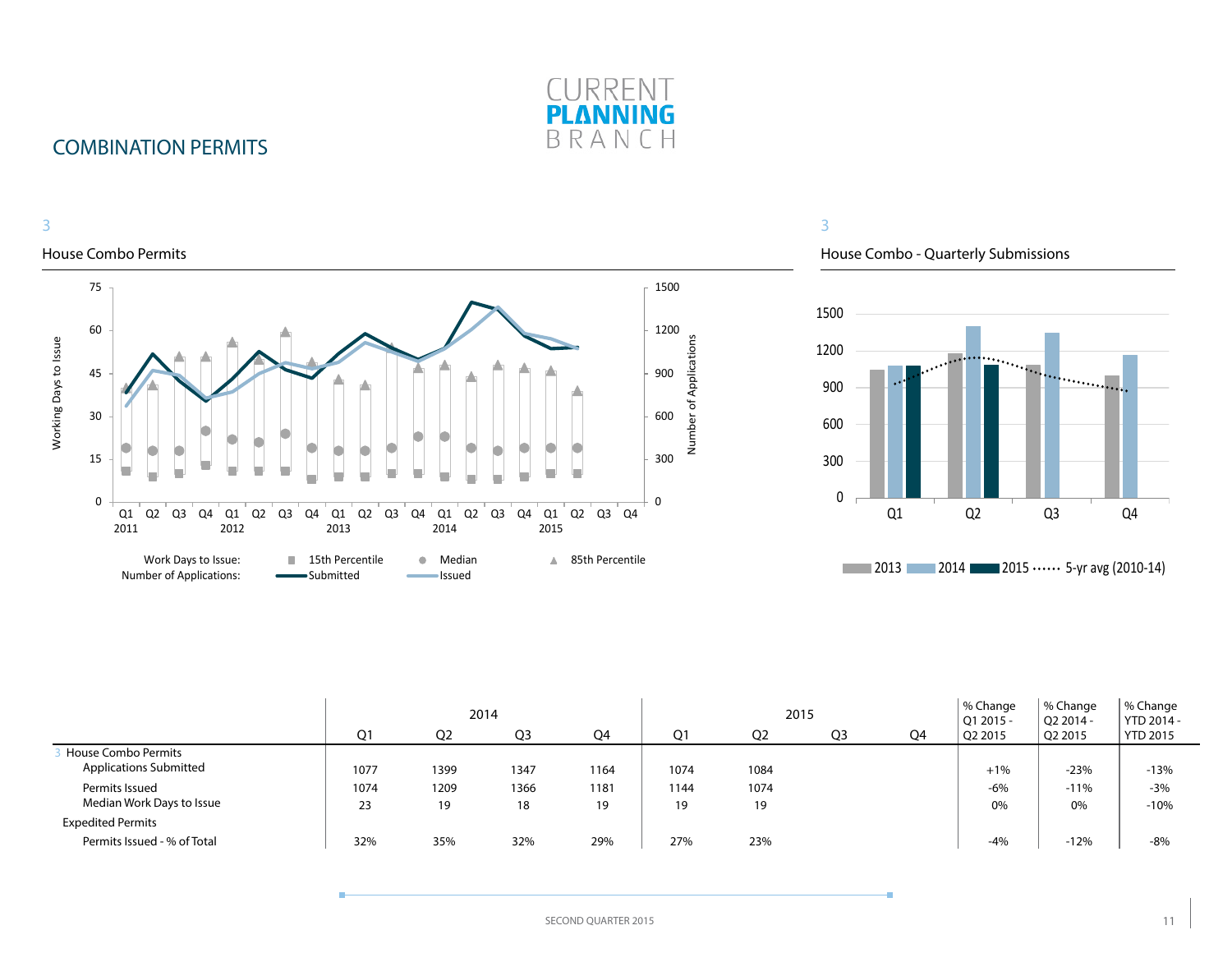

## COMBINATION PERMITS

#### 3 3 House Combo Permits House Combo - Quarterly Submissions 75 1500 1500 60 1200 Number of Applications Working Days to Issue Number of Applications Working Days to Issue 1200 <u>mand</u>  $\ddot{\cdot}$ 900 45 . . . . . . . . . <u>.</u> . . . 900 600 30 600 300 15 300 0 0 0 Q2 Q3 Q4 Q1 Q1 Q2 Q3 Q4 Q1  $Q2$   $Q3$   $Q4$ Q2 Q3 Q4 Q1 Q2 Q3 Q4 Q1 Q2 Q3 Q4 2011 2012 2013 2014 2015 Work Days to Issue: **15th Percentile 6 Median 15th Percentile 2013 2014 2015 ••••••** 5-yr avg (2010-14) Number of Applications:**Submitted Issued**

|                                                      |                |                | 2014           |            |            | 2015           |                |    | % Change<br>Q1 2015 - | % Change<br>$O22014 -$ | % Change<br>YTD 2014 - |
|------------------------------------------------------|----------------|----------------|----------------|------------|------------|----------------|----------------|----|-----------------------|------------------------|------------------------|
|                                                      | Q <sub>1</sub> | Q <sub>2</sub> | Q <sub>3</sub> | Q4         | Q1         | Q <sub>2</sub> | Q <sub>3</sub> | Q4 | Q2 2015               | Q2 2015                | <b>YTD 2015</b>        |
| House Combo Permits<br><b>Applications Submitted</b> | 1077           | 1399           | 1347           | 1164       | 1074       | 1084           |                |    | $+1%$                 | $-23%$                 | $-13%$                 |
| Permits Issued<br>Median Work Days to Issue          | 1074<br>23     | 1209<br>19     | 1366<br>18     | 1181<br>19 | 1144<br>19 | 1074<br>19     |                |    | $-6%$<br>0%           | $-11%$<br>0%           | $-3%$<br>$-10%$        |
| <b>Expedited Permits</b>                             |                |                |                |            |            |                |                |    |                       |                        |                        |
| Permits Issued - % of Total                          | 32%            | 35%            | 32%            | 29%        | 27%        | 23%            |                |    | $-4%$                 | $-12%$                 | $-8%$                  |

#### SECOND QUARTER 2015 11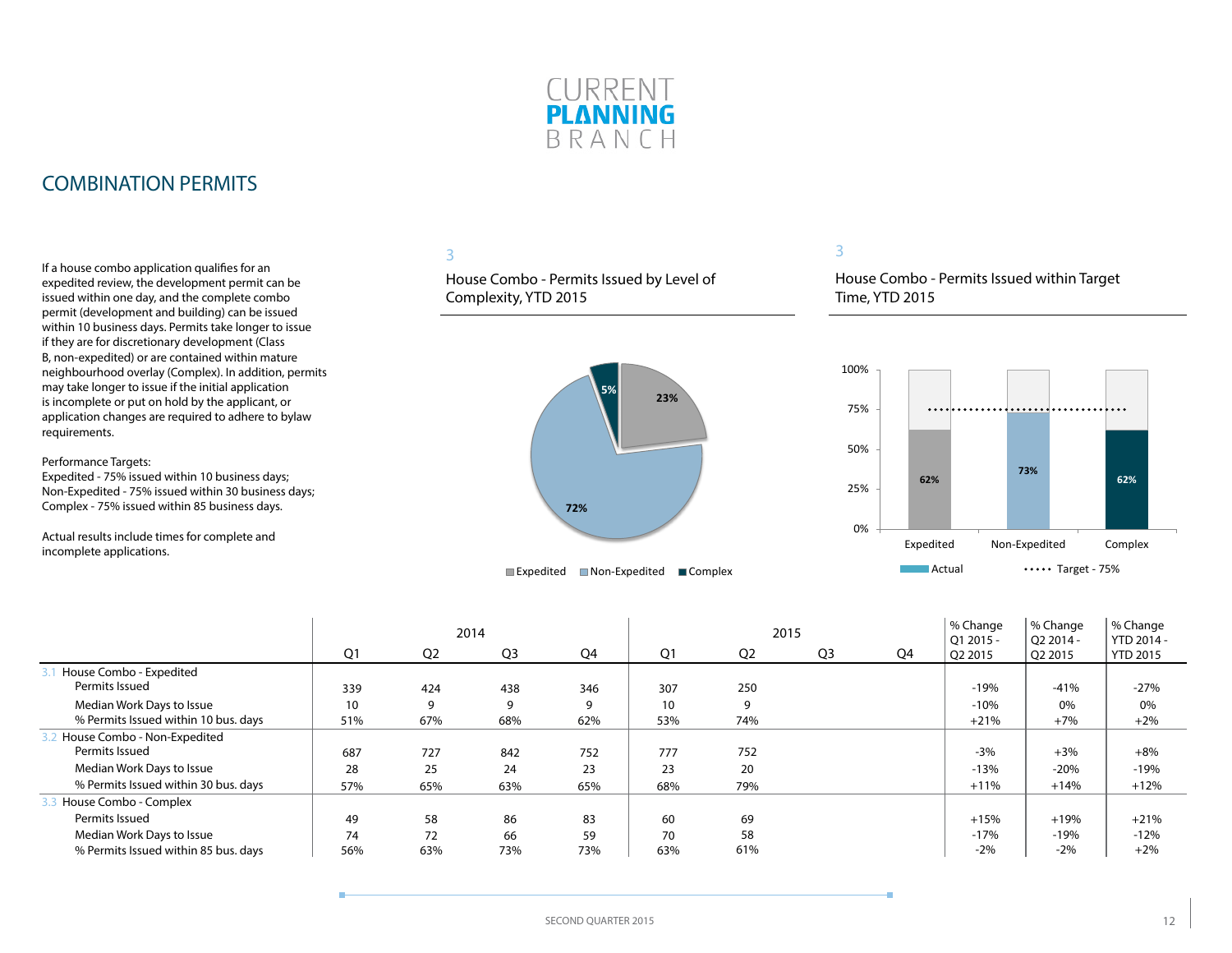

### COMBINATION PERMITS

If a house combo application qualifies for an expedited review, the development permit can be issued within one day, and the complete combo permit (development and building) can be issued within 10 business days. Permits take longer to issue if they are for discretionary development (Class B, non-expedited) or are contained within mature neighbourhood overlay (Complex). In addition, permits may take longer to issue if the initial application is incomplete or put on hold by the applicant, or application changes are required to adhere to bylaw requirements.

Performance Targets:

Expedited - 75% issued within 10 business days; Non-Expedited - 75% issued within 30 business days; Complex - 75% issued within 85 business days.

Actual results include times for complete and incomplete applications.

### 3

House Combo - Permits Issued by Level of Complexity, YTD 2015



#### 3

House Combo - Permits Issued within Target Time, YTD 2015



|                                      |     |                | 2014           |     |                |                | 2015           |    | % Change<br>$O12015 -$ | % Change<br>O <sub>2</sub> 2014 - | % Change<br>YTD 2014 - |
|--------------------------------------|-----|----------------|----------------|-----|----------------|----------------|----------------|----|------------------------|-----------------------------------|------------------------|
|                                      | Q1  | Q <sub>2</sub> | Q <sub>3</sub> | Q4  | Q <sub>1</sub> | Q <sub>2</sub> | Q <sub>3</sub> | Q4 | Q2 2015                | Q2 2015                           | <b>YTD 2015</b>        |
| House Combo - Expedited              |     |                |                |     |                |                |                |    |                        |                                   |                        |
| Permits Issued                       | 339 | 424            | 438            | 346 | 307            | 250            |                |    | $-19%$                 | $-41%$                            | $-27%$                 |
| Median Work Days to Issue            | 10  | 9              | 9              | 9   | 10             | 9              |                |    | $-10%$                 | 0%                                | 0%                     |
| % Permits Issued within 10 bus. days | 51% | 67%            | 68%            | 62% | 53%            | 74%            |                |    | $+21%$                 | $+7%$                             | $+2%$                  |
| House Combo - Non-Expedited          |     |                |                |     |                |                |                |    |                        |                                   |                        |
| Permits Issued                       | 687 | 727            | 842            | 752 | 777            | 752            |                |    | $-3%$                  | $+3%$                             | $+8%$                  |
| Median Work Days to Issue            | 28  | 25             | 24             | 23  | 23             | 20             |                |    | $-13%$                 | $-20%$                            | $-19%$                 |
| % Permits Issued within 30 bus. days | 57% | 65%            | 63%            | 65% | 68%            | 79%            |                |    | $+11%$                 | $+14%$                            | $+12%$                 |
| House Combo - Complex                |     |                |                |     |                |                |                |    |                        |                                   |                        |
| Permits Issued                       | 49  | 58             | 86             | 83  | 60             | 69             |                |    | $+15%$                 | $+19%$                            | $+21%$                 |
| Median Work Days to Issue            | 74  | 72             | 66             | 59  | 70             | 58             |                |    | $-17%$                 | $-19%$                            | $-12%$                 |
| % Permits Issued within 85 bus. days | 56% | 63%            | 73%            | 73% | 63%            | 61%            |                |    | $-2%$                  | $-2%$                             | $+2%$                  |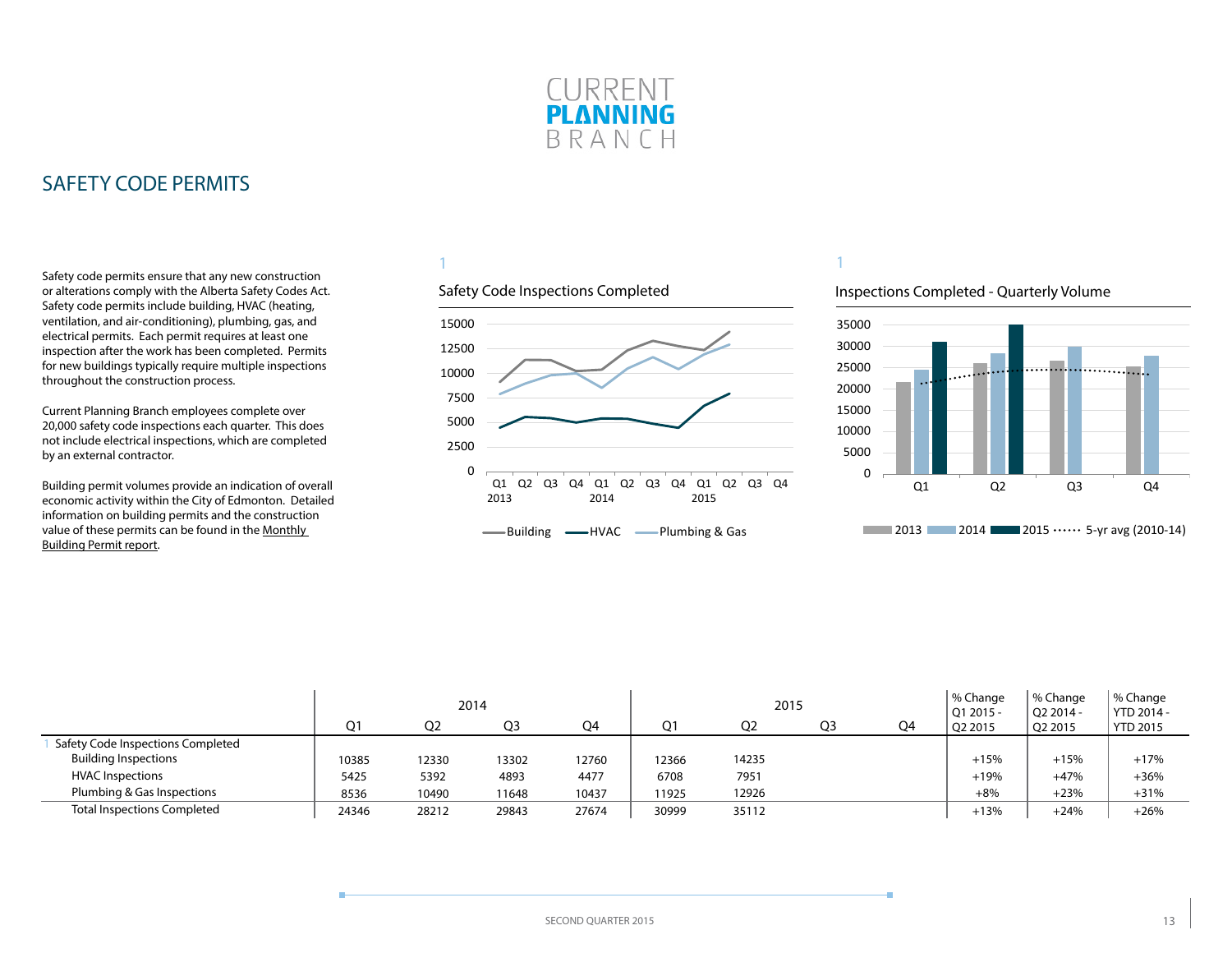

<span id="page-12-0"></span>Safety code permits ensure that any new construction or alterations comply with the Alberta Safety Codes Act. Safety code permits include building, HVAC (heating, ventilation, and air-conditioning), plumbing, gas, and electrical permits. Each permit requires at least one inspection after the work has been completed. Permits for new buildings typically require multiple inspections throughout the construction process.

Current Planning Branch employees complete over 20,000 safety code inspections each quarter. This does not include electrical inspections, which are completed by an external contractor.

Building permit volumes provide an indication of overall economic activity within the City of Edmonton. Detailed information on building permits and the construction value of these permits can be found in the [Monthly](http://www.edmonton.ca/buildingpermitreport)  [Building Permit report](http://www.edmonton.ca/buildingpermitreport).

### 1

### Safety Code Inspections Completed



#### Inspections Completed - Quarterly Volume



|                                    | 2014  |                |       |       |       | 2015  |                |    | % Change<br>Q1 2015 - | <sup>1</sup> % Change<br>$O22014 -$ | % Change<br>YTD 2014 - |
|------------------------------------|-------|----------------|-------|-------|-------|-------|----------------|----|-----------------------|-------------------------------------|------------------------|
|                                    | O1    | O <sub>2</sub> | Q3    | Q4    |       | Q2    | Q <sub>3</sub> | Q4 | O <sub>2</sub> 2015   | O <sub>2</sub> 2015                 | <b>YTD 2015</b>        |
| Safety Code Inspections Completed  |       |                |       |       |       |       |                |    |                       |                                     |                        |
| <b>Building Inspections</b>        | 10385 | 12330          | 13302 | 12760 | 12366 | 14235 |                |    | $+15%$                | $+15%$                              | $+17%$                 |
| <b>HVAC Inspections</b>            | 5425  | 5392           | 4893  | 4477  | 6708  | 7951  |                |    | $+19%$                | $+47%$                              | $+36%$                 |
| Plumbing & Gas Inspections         | 8536  | 10490          | 11648 | 10437 | 11925 | 12926 |                |    | $+8%$                 | $+23%$                              | $+31%$                 |
| <b>Total Inspections Completed</b> | 24346 | 28212          | 29843 | 27674 | 30999 | 35112 |                |    | $+13%$                | $+24%$                              | $+26%$                 |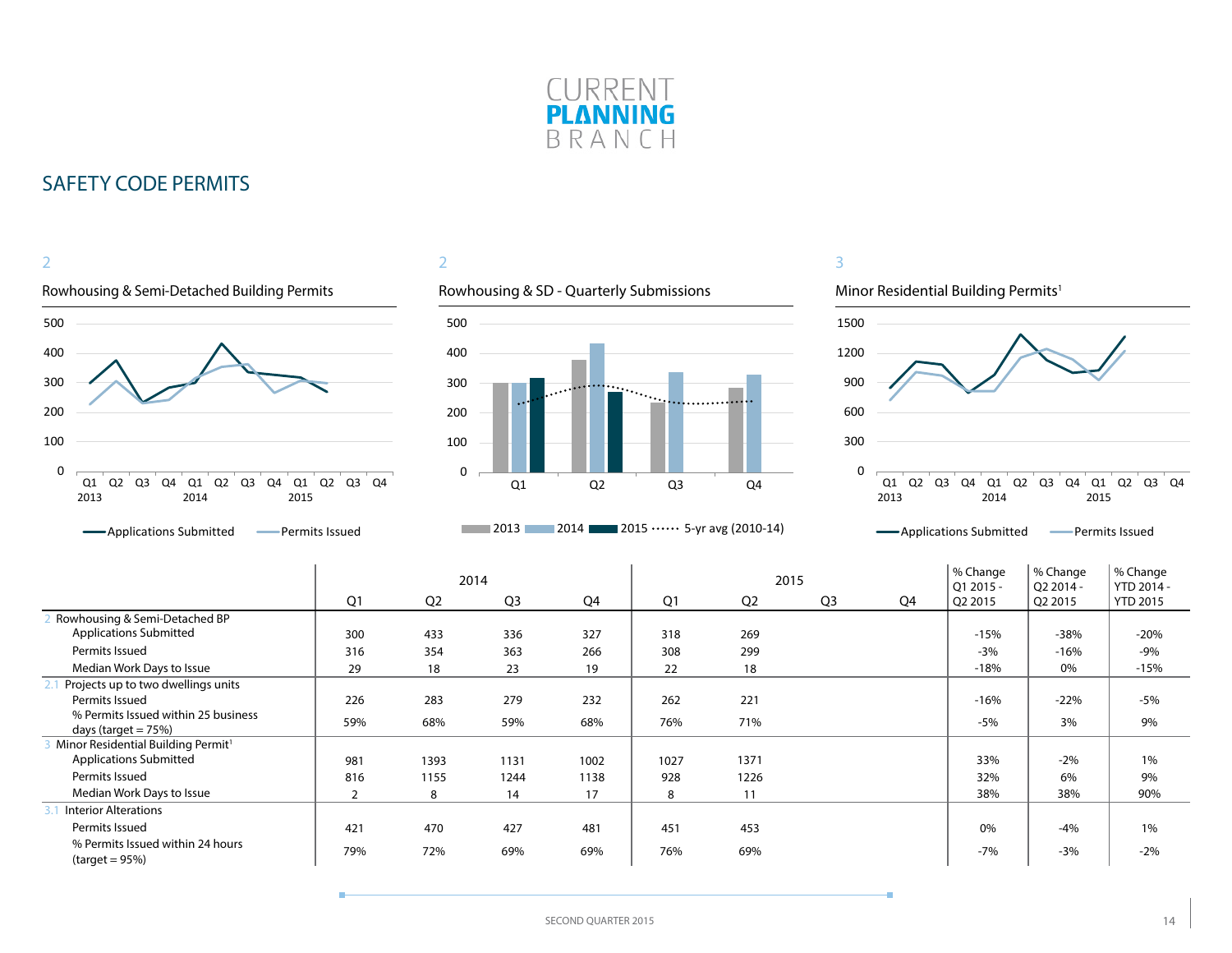



### 2



### **2013** 2014 2015  $\cdots$  5-yr avg (2010-14)



|                                                                |                |                | 2014           |      | 2015 |                |                | % Change<br>Q1 2015 - | % Change<br>Q2 2014 - | % Change<br>YTD 2014 - |                 |
|----------------------------------------------------------------|----------------|----------------|----------------|------|------|----------------|----------------|-----------------------|-----------------------|------------------------|-----------------|
|                                                                | Q <sub>1</sub> | Q <sub>2</sub> | Q <sub>3</sub> | Q4   | Q1   | Q <sub>2</sub> | Q <sub>3</sub> | Q4                    | Q2 2015               | Q2 2015                | <b>YTD 2015</b> |
| Rowhousing & Semi-Detached BP                                  |                |                |                |      |      |                |                |                       |                       |                        |                 |
| <b>Applications Submitted</b>                                  | 300            | 433            | 336            | 327  | 318  | 269            |                |                       | $-15%$                | $-38%$                 | $-20%$          |
| Permits Issued                                                 | 316            | 354            | 363            | 266  | 308  | 299            |                |                       | $-3%$                 | $-16%$                 | $-9%$           |
| Median Work Days to Issue                                      | 29             | 18             | 23             | 19   | 22   | 18             |                |                       | $-18%$                | 0%                     | $-15%$          |
| Projects up to two dwellings units                             |                |                |                |      |      |                |                |                       |                       |                        |                 |
| Permits Issued                                                 | 226            | 283            | 279            | 232  | 262  | 221            |                |                       | $-16%$                | $-22%$                 | $-5%$           |
| % Permits Issued within 25 business<br>days (target $= 75\%$ ) | 59%            | 68%            | 59%            | 68%  | 76%  | 71%            |                |                       | $-5%$                 | 3%                     | 9%              |
| Minor Residential Building Permit <sup>1</sup>                 |                |                |                |      |      |                |                |                       |                       |                        |                 |
| <b>Applications Submitted</b>                                  | 981            | 1393           | 1131           | 1002 | 1027 | 1371           |                |                       | 33%                   | $-2%$                  | 1%              |
| Permits Issued                                                 | 816            | 1155           | 1244           | 1138 | 928  | 1226           |                |                       | 32%                   | 6%                     | 9%              |
| Median Work Days to Issue                                      | 2              | 8              | 14             | 17   | 8    | 11             |                |                       | 38%                   | 38%                    | 90%             |
| <b>Interior Alterations</b>                                    |                |                |                |      |      |                |                |                       |                       |                        |                 |
| Permits Issued                                                 | 421            | 470            | 427            | 481  | 451  | 453            |                |                       | 0%                    | $-4%$                  | $1\%$           |
| % Permits Issued within 24 hours<br>$(target = 95%)$           | 79%            | 72%            | 69%            | 69%  | 76%  | 69%            |                |                       | $-7%$                 | $-3%$                  | $-2%$           |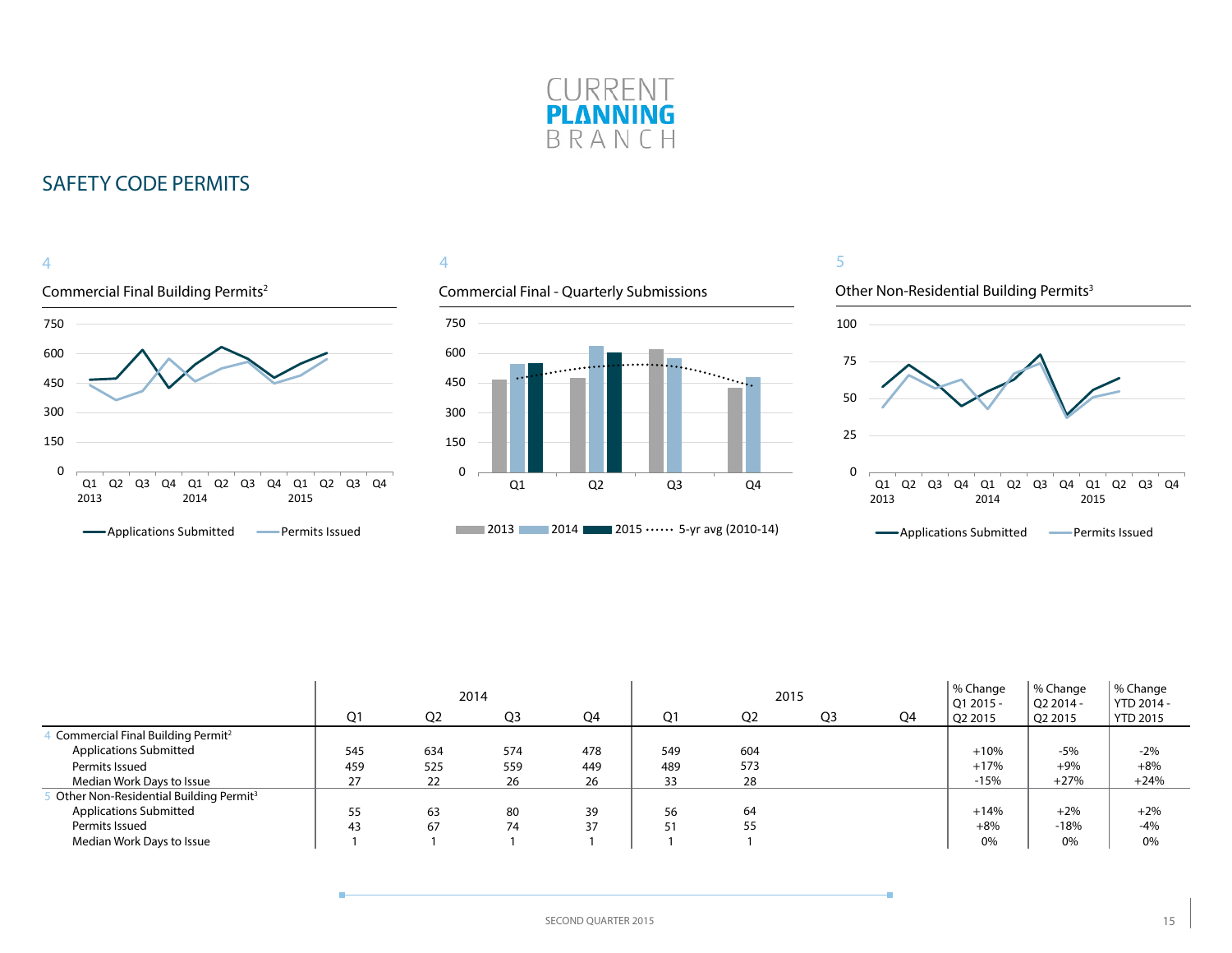



### 4

### Commercial Final - Quarterly Submissions





|                                                    |     |                |                | 2015 |     | % Change<br>$Q12015 -$ | <sup>1</sup> % Change<br>O <sub>2</sub> 2014 - | % Change<br>YTD 2014 - |         |         |                 |
|----------------------------------------------------|-----|----------------|----------------|------|-----|------------------------|------------------------------------------------|------------------------|---------|---------|-----------------|
|                                                    | O1  | Q <sub>2</sub> | Q <sub>3</sub> | Q4   | Ο1  | Q <sub>2</sub>         | Q <sub>3</sub>                                 | Q4                     | Q2 2015 | Q2 2015 | <b>YTD 2015</b> |
| Commercial Final Building Permit <sup>2</sup>      |     |                |                |      |     |                        |                                                |                        |         |         |                 |
| <b>Applications Submitted</b>                      | 545 | 634            | 574            | 478  | 549 | 604                    |                                                |                        | $+10%$  | $-5%$   | $-2%$           |
| Permits Issued                                     | 459 | 525            | 559            | 449  | 489 | 573                    |                                                |                        | $+17%$  | $+9%$   | $+8%$           |
| Median Work Days to Issue                          | 27  | 22             | 26             | 26   | 33  | 28                     |                                                |                        | $-15%$  | $+27%$  | $+24%$          |
| Other Non-Residential Building Permit <sup>3</sup> |     |                |                |      |     |                        |                                                |                        |         |         |                 |
| <b>Applications Submitted</b>                      | 55  | 63             | 80             | 39   | 56  | 64                     |                                                |                        | $+14%$  | $+2%$   | $+2%$           |
| Permits Issued                                     | 43  | 67             | 74             | 37   | 51  | 55                     |                                                |                        | $+8%$   | $-18%$  | $-4%$           |
| Median Work Days to Issue                          |     |                |                |      |     |                        |                                                |                        | 0%      | 0%      | 0%              |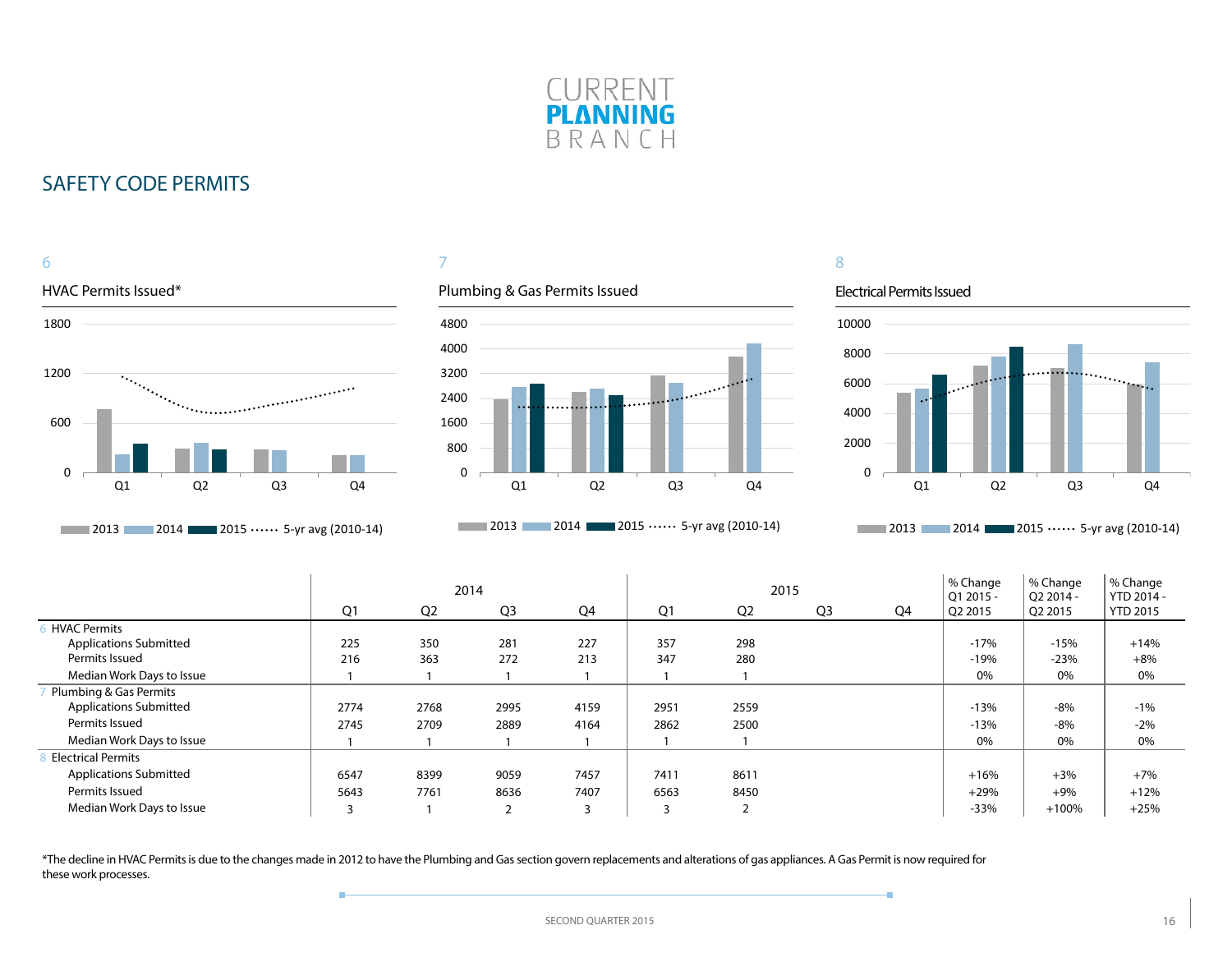



### 7

### Plumbing & Gas Permits Issued



**2013** 2014 **2015 ••••••** 5-yr avg (2010-14)

### 8

#### Electrical Permits Issued

÷



**2013** 2014 **2015 ••••••** 5-yr avg (2010-14)

|                               | 2014 |                |                |                |                |                | 2015           |    | % Change<br>$O12015 -$ | % Change<br>O <sub>2</sub> 2014 - | % Change<br>YTD 2014 - |
|-------------------------------|------|----------------|----------------|----------------|----------------|----------------|----------------|----|------------------------|-----------------------------------|------------------------|
|                               | Q1   | Q <sub>2</sub> | Q <sub>3</sub> | Q4             | Q <sub>1</sub> | Q <sub>2</sub> | Q <sub>3</sub> | Q4 | Q2 2015                | $\sqrt{Q}$ 2015                   | <b>YTD 2015</b>        |
| <b>HVAC Permits</b>           |      |                |                |                |                |                |                |    |                        |                                   |                        |
| <b>Applications Submitted</b> | 225  | 350            | 281            | 227            | 357            | 298            |                |    | $-17%$                 | $-15%$                            | $+14%$                 |
| Permits Issued                | 216  | 363            | 272            | 213            | 347            | 280            |                |    | $-19%$                 | $-23%$                            | $+8%$                  |
| Median Work Days to Issue     |      |                |                |                |                |                |                |    | 0%                     | 0%                                | 0%                     |
| Plumbing & Gas Permits        |      |                |                |                |                |                |                |    |                        |                                   |                        |
| <b>Applications Submitted</b> | 2774 | 2768           | 2995           | 4159           | 2951           | 2559           |                |    | $-13%$                 | $-8%$                             | $-1%$                  |
| Permits Issued                | 2745 | 2709           | 2889           | 4164           | 2862           | 2500           |                |    | $-13%$                 | $-8%$                             | $-2%$                  |
| Median Work Days to Issue     |      |                |                |                |                |                |                |    | 0%                     | 0%                                | 0%                     |
| <b>Electrical Permits</b>     |      |                |                |                |                |                |                |    |                        |                                   |                        |
| <b>Applications Submitted</b> | 6547 | 8399           | 9059           | 7457           | 7411           | 8611           |                |    | $+16%$                 | $+3%$                             | $+7%$                  |
| Permits Issued                | 5643 | 7761           | 8636           | 7407           | 6563           | 8450           |                |    | $+29%$                 | $+9%$                             | $+12%$                 |
| Median Work Days to Issue     |      |                | $\overline{2}$ | $\overline{3}$ |                | ∍              |                |    | $-33%$                 | $+100%$                           | $+25%$                 |

\*The decline in HVAC Permits is due to the changes made in 2012 to have the Plumbing and Gas section govern replacements and alterations of gas appliances. A Gas Permit is now required for these work processes.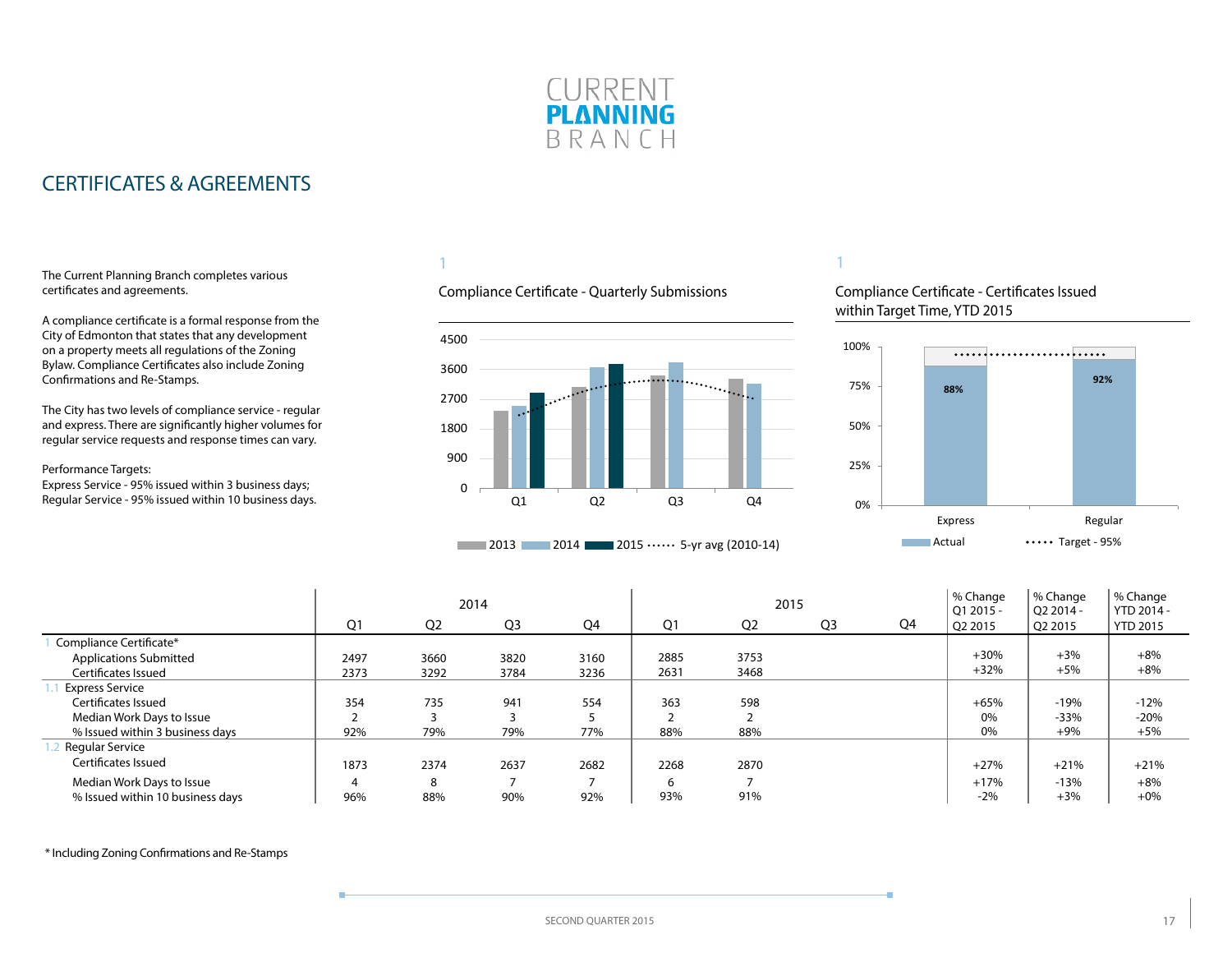

### <span id="page-16-0"></span>CERTIFICATES & AGREEMENTS

#### The Current Planning Branch completes various certificates and agreements.

A compliance certificate is a formal response from the City of Edmonton that states that any development on a property meets all regulations of the Zoning Bylaw. Compliance Certificates also include Zoning Confirmations and Re-Stamps.

The City has two levels of compliance service - regular and express. There are significantly higher volumes for regular service requests and response times can vary.

#### Performance Targets:

Express Service - 95% issued within 3 business days; Regular Service - 95% issued within 10 business days.

### 1

### Compliance Certificate - Quarterly Submissions



#### **2013** 2014 2015  $\cdots$  5-yr avg (2010-14)

### 1

Compliance Certificate - Certificates Issued within Target Time, YTD 2015



|                                  |      |                | 2014           |      |      | 2015           |                |    | % Change<br>$O12015 -$ | % Change<br>$O22014 -$ | % Change<br>YTD 2014 - |
|----------------------------------|------|----------------|----------------|------|------|----------------|----------------|----|------------------------|------------------------|------------------------|
|                                  | Q1   | Q <sub>2</sub> | Q <sub>3</sub> | Q4   | Q1   | Q <sub>2</sub> | Q <sub>3</sub> | Q4 | Q2 2015                | Q2 2015                | <b>YTD 2015</b>        |
| Compliance Certificate*          |      |                |                |      |      |                |                |    |                        |                        |                        |
| <b>Applications Submitted</b>    | 2497 | 3660           | 3820           | 3160 | 2885 | 3753           |                |    | $+30%$                 | $+3%$                  | $+8%$                  |
| Certificates Issued              | 2373 | 3292           | 3784           | 3236 | 2631 | 3468           |                |    | $+32%$                 | $+5%$                  | $+8%$                  |
| <b>Express Service</b>           |      |                |                |      |      |                |                |    |                        |                        |                        |
| Certificates Issued              | 354  | 735            | 941            | 554  | 363  | 598            |                |    | $+65%$                 | $-19%$                 | $-12%$                 |
| Median Work Days to Issue        |      |                |                |      |      |                |                |    | 0%                     | $-33%$                 | $-20%$                 |
| % Issued within 3 business days  | 92%  | 79%            | 79%            | 77%  | 88%  | 88%            |                |    | 0%                     | $+9%$                  | $+5%$                  |
| Regular Service                  |      |                |                |      |      |                |                |    |                        |                        |                        |
| Certificates Issued              | 1873 | 2374           | 2637           | 2682 | 2268 | 2870           |                |    | $+27%$                 | $+21%$                 | $+21%$                 |
| Median Work Days to Issue        | 4    | 8              |                |      | 6    |                |                |    | $+17%$                 | $-13%$                 | $+8%$                  |
| % Issued within 10 business days | 96%  | 88%            | 90%            | 92%  | 93%  | 91%            |                |    | $-2%$                  | $+3%$                  | $+0\%$                 |

\* Including Zoning Confirmations and Re-Stamps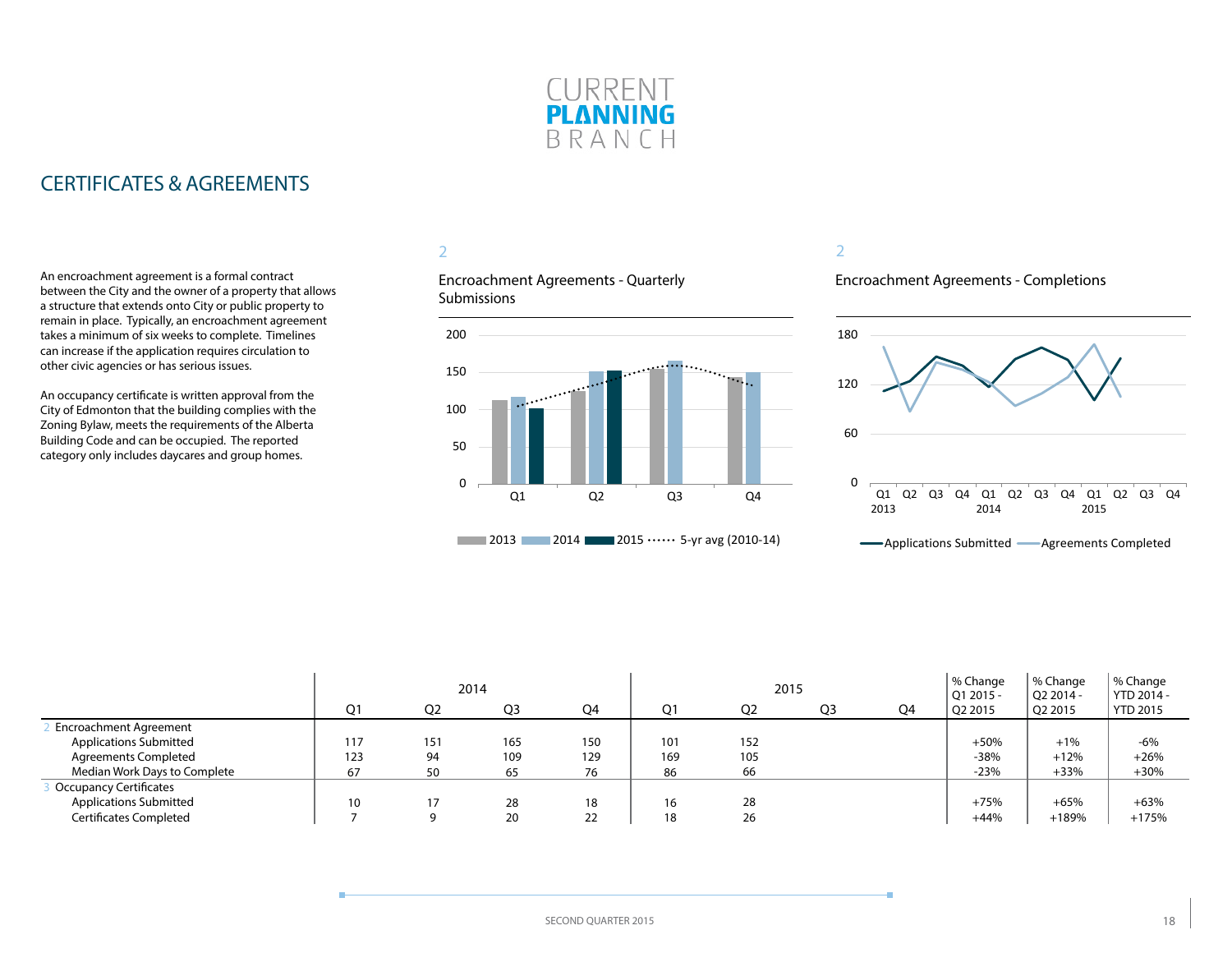

### CERTIFICATES & AGREEMENTS

An encroachment agreement is a formal contract between the City and the owner of a property that allows a structure that extends onto City or public property to remain in place. Typically, an encroachment agreement takes a minimum of six weeks to complete. Timelines can increase if the application requires circulation to other civic agencies or has serious issues.

An occupancy certificate is written approval from the City of Edmonton that the building complies with the Zoning Bylaw, meets the requirements of the Alberta Building Code and can be occupied. The reported category only includes daycares and group homes.

### 2

Encroachment Agreements - Quarterly **Submissions** 



#### 2

Encroachment Agreements - Completions



| Applications Submitted- | Agreements Completed |  |
|-------------------------|----------------------|--|
|-------------------------|----------------------|--|

|                               | 2014           |                |                |                |     |                | 2015           | % Change<br>$Q12015 -$ | % Change<br>$O22014 -$ | % Change<br>YTD 2014 - |                 |
|-------------------------------|----------------|----------------|----------------|----------------|-----|----------------|----------------|------------------------|------------------------|------------------------|-----------------|
|                               | O <sub>1</sub> | O <sub>2</sub> | Q <sub>3</sub> | O <sub>4</sub> | Ο1  | Q <sub>2</sub> | O <sub>3</sub> | Q4                     | Q2 2015                | Q2 2015                | <b>YTD 2015</b> |
| <b>Encroachment Agreement</b> |                |                |                |                |     |                |                |                        |                        |                        |                 |
| <b>Applications Submitted</b> | 117            | 151            | 165            | 150            | 101 | 152            |                |                        | $+50%$                 | $+1%$                  | $-6%$           |
| <b>Agreements Completed</b>   | 123            | 94             | 109            | 129            | 169 | 105            |                |                        | $-38%$                 | $+12%$                 | $+26%$          |
| Median Work Days to Complete  | 67             | 50             | 65             | 76             | 86  | 66             |                |                        | $-23%$                 | $+33%$                 | $+30%$          |
| <b>Occupancy Certificates</b> |                |                |                |                |     |                |                |                        |                        |                        |                 |
| <b>Applications Submitted</b> | 10             |                | 28             | 18             | 16  | 28             |                |                        | $+75%$                 | $+65%$                 | $+63%$          |
| Certificates Completed        |                |                | 20             | 22             | 18  | 26             |                |                        | $+44%$                 | $+189%$                | $+175%$         |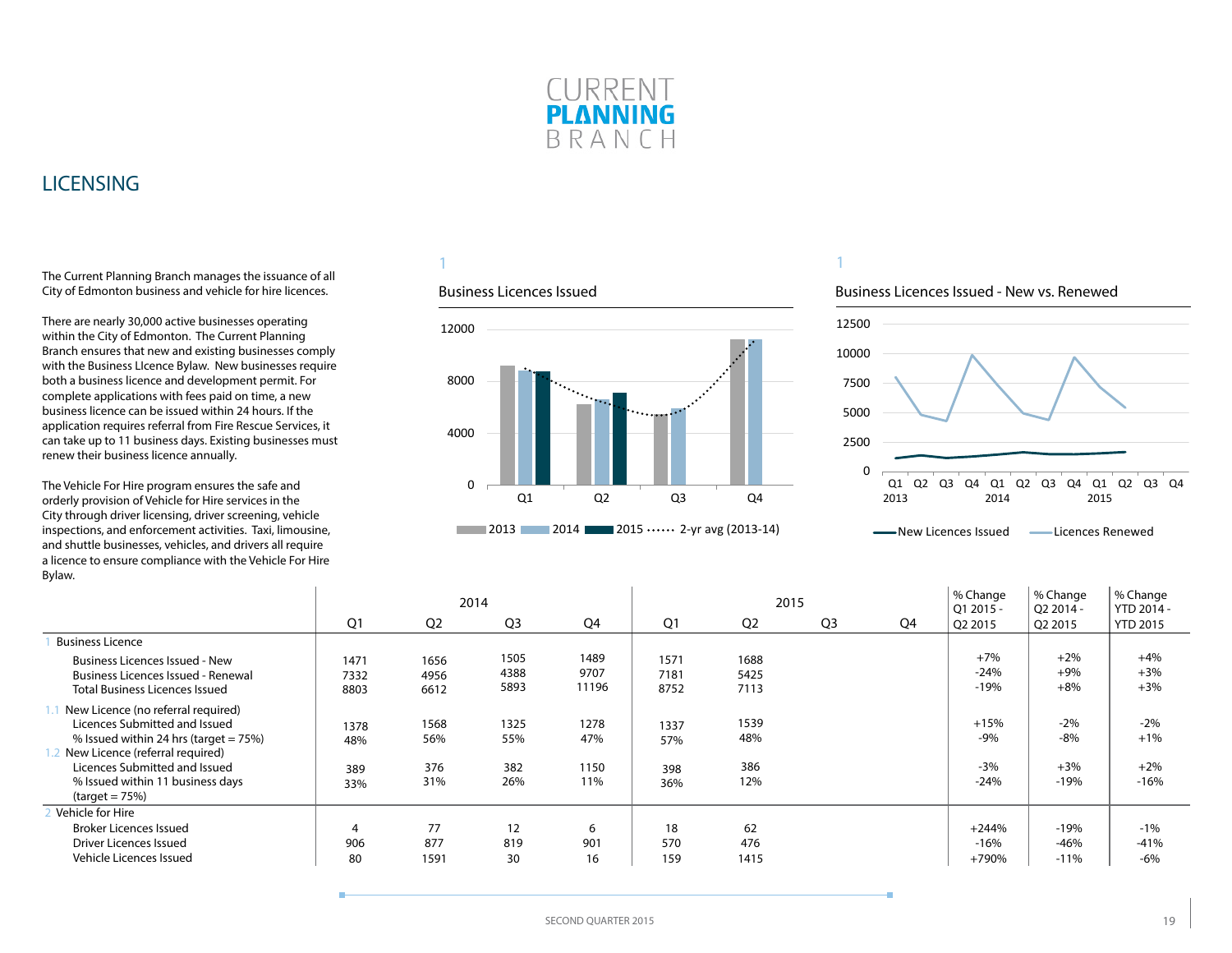

### <span id="page-18-0"></span>LICENSING

The Current Planning Branch manages the issuance of all City of Edmonton business and vehicle for hire licences.

There are nearly 30,000 active businesses operating within the City of Edmonton. The Current Planning Branch ensures that new and existing businesses comply with the Business LIcence Bylaw. New businesses require both a business licence and development permit. For complete applications with fees paid on time, a new business licence can be issued within 24 hours. If the application requires referral from Fire Rescue Services, it can take up to 11 business days. Existing businesses must renew their business licence annually.

The Vehicle For Hire program ensures the safe and orderly provision of Vehicle for Hire services in the City through driver licensing, driver screening, vehicle inspections, and enforcement activities. Taxi, limousine, and shuttle businesses, vehicles, and drivers all require a licence to ensure compliance with the Vehicle For Hire Bylaw.

 $\mathbf{I}$ 

### 1

#### Business Licences Issued



### 1

#### Business Licences Issued - New vs. Renewed



**Wew Licences Issued Communication** Licences Renewed

|                                                                                                                          | 2014                 |                      |                      |                       |                      | 2015                 |                |    | % Change<br>Q1 2015 -     | % Change<br>Q2 2014 -   | % Change<br>YTD 2014 -  |
|--------------------------------------------------------------------------------------------------------------------------|----------------------|----------------------|----------------------|-----------------------|----------------------|----------------------|----------------|----|---------------------------|-------------------------|-------------------------|
|                                                                                                                          | Q <sub>1</sub>       | Q <sub>2</sub>       | Q <sub>3</sub>       | Q4                    | Q1                   | Q <sub>2</sub>       | Q <sub>3</sub> | Q4 | Q2 2015                   | Q2 2015                 | <b>YTD 2015</b>         |
| <b>Business Licence</b>                                                                                                  |                      |                      |                      |                       |                      |                      |                |    |                           |                         |                         |
| <b>Business Licences Issued - New</b><br>Business Licences Issued - Renewal<br><b>Total Business Licences Issued</b>     | 1471<br>7332<br>8803 | 1656<br>4956<br>6612 | 1505<br>4388<br>5893 | 1489<br>9707<br>11196 | 1571<br>7181<br>8752 | 1688<br>5425<br>7113 |                |    | $+7%$<br>$-24%$<br>$-19%$ | $+2%$<br>$+9%$<br>$+8%$ | $+4%$<br>$+3%$<br>$+3%$ |
| New Licence (no referral required)<br>Licences Submitted and Issued<br>% Issued within 24 hrs (target $= 75\%$ )         | 1378<br>48%          | 1568<br>56%          | 1325<br>55%          | 1278<br>47%           | 1337<br>57%          | 1539<br>48%          |                |    | $+15%$<br>$-9%$           | $-2%$<br>$-8%$          | $-2%$<br>$+1%$          |
| New Licence (referral required)<br>Licences Submitted and Issued<br>% Issued within 11 business days<br>$(target = 75%)$ | 389<br>33%           | 376<br>31%           | 382<br>26%           | 1150<br>11%           | 398<br>36%           | 386<br>12%           |                |    | $-3%$<br>$-24%$           | $+3%$<br>$-19%$         | $+2%$<br>$-16%$         |
| Vehicle for Hire<br><b>Broker Licences Issued</b>                                                                        | 4                    | 77                   | 12                   | 6                     | 18                   | 62                   |                |    | $+244%$                   | $-19%$                  | $-1%$                   |
| Driver Licences Issued                                                                                                   | 906                  | 877                  | 819                  | 901                   | 570                  | 476                  |                |    | $-16%$                    | $-46%$                  | $-41%$                  |
| Vehicle Licences Issued                                                                                                  | 80                   | 1591                 | 30                   | 16                    | 159                  | 1415                 |                |    | +790%                     | $-11%$                  | $-6%$                   |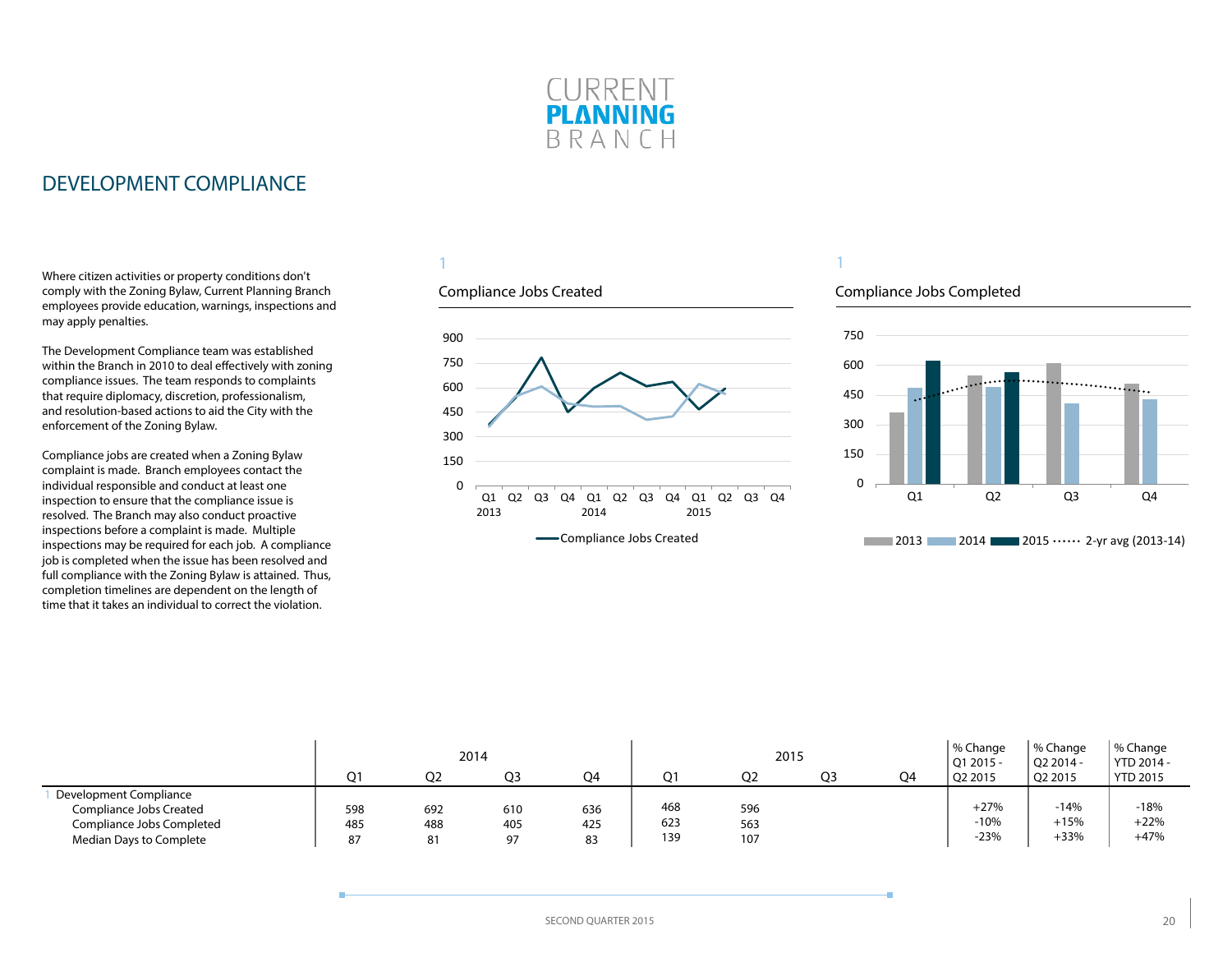

### <span id="page-19-0"></span>DEVELOPMENT COMPLIANCE

Where citizen activities or property conditions don't comply with the Zoning Bylaw, Current Planning Branch employees provide education, warnings, inspections and may apply penalties.

The Development Compliance team was established within the Branch in 2010 to deal effectively with zoning compliance issues. The team responds to complaints that require diplomacy, discretion, professionalism, and resolution-based actions to aid the City with the enforcement of the Zoning Bylaw.

Compliance jobs are created when a Zoning Bylaw complaint is made. Branch employees contact the individual responsible and conduct at least one inspection to ensure that the compliance issue is resolved. The Branch may also conduct proactive inspections before a complaint is made. Multiple inspections may be required for each job. A compliance job is completed when the issue has been resolved and full compliance with the Zoning Bylaw is attained. Thus, completion timelines are dependent on the length of time that it takes an individual to correct the violation.

### 1

### Compliance Jobs Created



#### **-Compliance Jobs Created**

### 1

### Compliance Jobs Completed



|                                                                                |            |                | 2014       |            |            | 2015           |                |                | % Change<br>01 2015 - | % Change<br>$O22014 -$ | % Change<br>$\gamma$ YTD 2014 - |
|--------------------------------------------------------------------------------|------------|----------------|------------|------------|------------|----------------|----------------|----------------|-----------------------|------------------------|---------------------------------|
|                                                                                | Ω1         | O <sub>2</sub> | O3         | O4         | ว1         | Q <sub>2</sub> | O <sub>3</sub> | O <sub>4</sub> | Q2 2015               | Q2 2015                | <b>YTD 2015</b>                 |
| Development Compliance<br>Compliance Jobs Created<br>Compliance Jobs Completed | 598<br>485 | 692<br>488     | 610<br>405 | 636<br>425 | 468<br>623 | 596<br>563     |                |                | $+27%$<br>$-10%$      | $-14%$<br>$+15%$       | $-18%$<br>$+22%$                |
| Median Days to Complete                                                        | 87         |                | 97         | 83         | 139        | 107            |                |                | $-23%$                | $+33%$                 | $+47%$                          |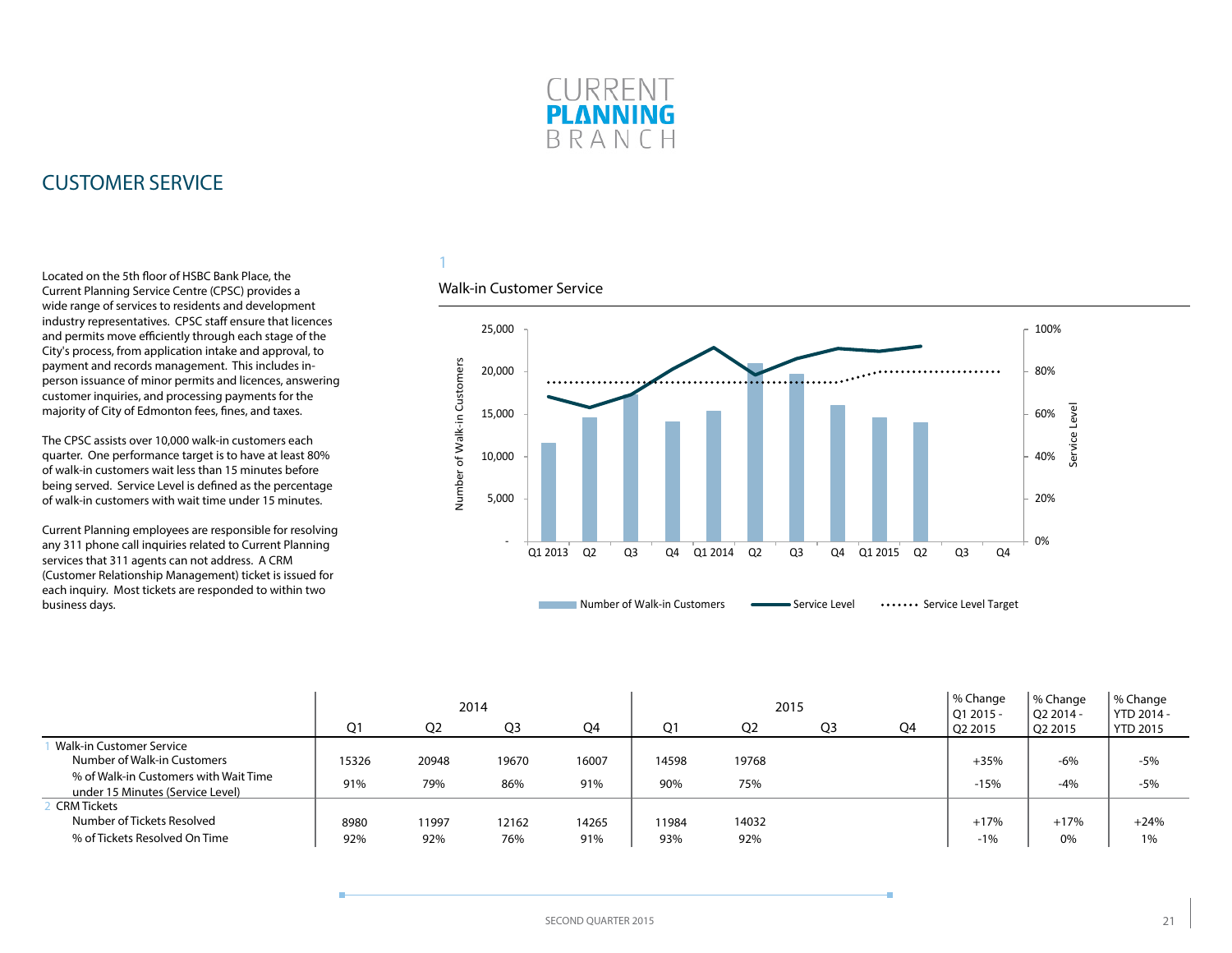

### <span id="page-20-0"></span>CUSTOMER SERVICE

Located on the 5th floor of HSBC Bank Place, the Current Planning Service Centre (CPSC) provides a wide range of services to residents and development industry representatives. CPSC staff ensure that licences and permits move efficiently through each stage of the City's process, from application intake and approval, to payment and records management. This includes inperson issuance of minor permits and licences, answering customer inquiries, and processing payments for the majority of City of Edmonton fees, fines, and taxes.

The CPSC assists over 10,000 walk-in customers each quarter. One performance target is to have at least 80% of walk-in customers wait less than 15 minutes before being served. Service Level is defined as the percentage of walk-in customers with wait time under 15 minutes.

Current Planning employees are responsible for resolving any 311 phone call inquiries related to Current Planning services that 311 agents can not address. A CRM (Customer Relationship Management) ticket is issued for each inquiry. Most tickets are responded to within two business days.

### 1

#### Walk-in Customer Service



|                                                                           | 2014           |                |                |       |       | 2015           |                | % Change<br>$O12015 -$ | % Change<br>O <sub>2</sub> 2014 - | % Change<br>YTD 2014 - |                 |
|---------------------------------------------------------------------------|----------------|----------------|----------------|-------|-------|----------------|----------------|------------------------|-----------------------------------|------------------------|-----------------|
|                                                                           | Q <sub>1</sub> | O <sub>2</sub> | Q <sub>3</sub> | Q4    | 01    | Q <sub>2</sub> | Q <sub>3</sub> | Q4                     | O <sub>2</sub> 2015               | Q2 2015                | <b>YTD 2015</b> |
| Walk-in Customer Service<br>Number of Walk-in Customers                   | 15326          | 20948          | 19670          | 16007 | 14598 | 19768          |                |                        | $+35%$                            | $-6%$                  | $-5%$           |
| % of Walk-in Customers with Wait Time<br>under 15 Minutes (Service Level) | 91%            | 79%            | 86%            | 91%   | 90%   | 75%            |                |                        | $-15%$                            | $-4%$                  | $-5%$           |
| <b>CRM Tickets</b>                                                        |                |                |                |       |       |                |                |                        |                                   |                        |                 |
| Number of Tickets Resolved                                                | 8980           | 11997          | 12162          | 14265 | 11984 | 14032          |                |                        | $+17%$                            | $+17%$                 | $+24%$          |
| % of Tickets Resolved On Time                                             | 92%            | 92%            | 76%            | 91%   | 93%   | 92%            |                |                        | $-1%$                             | 0%                     | 1%              |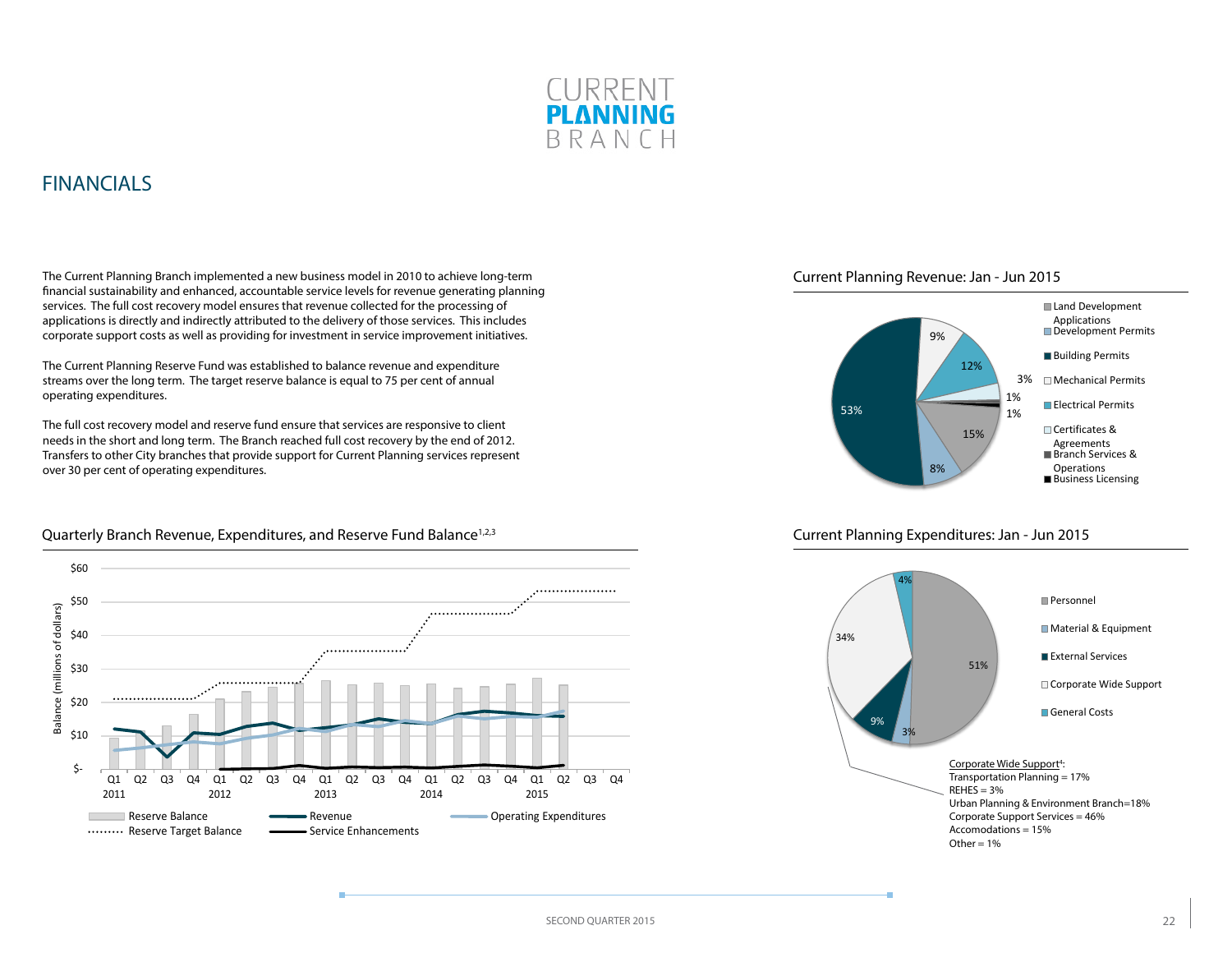

### <span id="page-21-0"></span>FINANCIALS

The Current Planning Branch implemented a new business model in 2010 to achieve long-term financial sustainability and enhanced, accountable service levels for revenue generating planning services. The full cost recovery model ensures that revenue collected for the processing of applications is directly and indirectly attributed to the delivery of those services. This includes corporate support costs as well as providing for investment in service improvement initiatives.

The Current Planning Reserve Fund was established to balance revenue and expenditure streams over the long term. The target reserve balance is equal to 75 per cent of annual operating expenditures.

The full cost recovery model and reserve fund ensure that services are responsive to client needs in the short and long term. The Branch reached full cost recovery by the end of 2012. Transfers to other City branches that provide support for Current Planning services represent over 30 per cent of operating expenditures.



### Quarterly Branch Revenue, Expenditures, and Reserve Fund Balance<sup>1,2,3</sup>





#### Current Planning Expenditures: Jan - Jun 2015